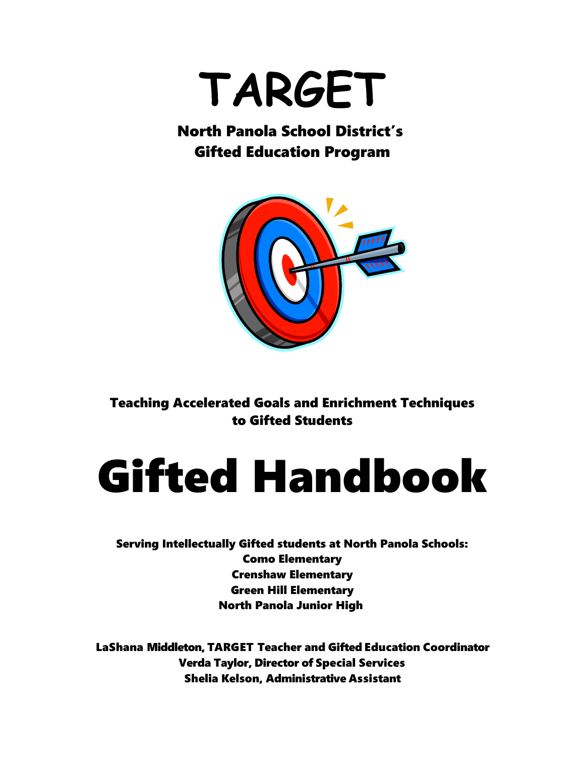# **TARGET**

### North Panola School District's Gifted Education Program



Teaching Accelerated Goals and Enrichment Techniques to Gifted Students

# Gifted Handbook

Serving Intellectually Gifted students at North Panola Schools: Como Elementary Crenshaw Elementary Green Hill Elementary North Panola Junior High

LaShana Middleton, TARGET Teacher and Gifted Education Coordinator Verda Taylor, Director of Special Services Shelia Kelson, Administrative Assistant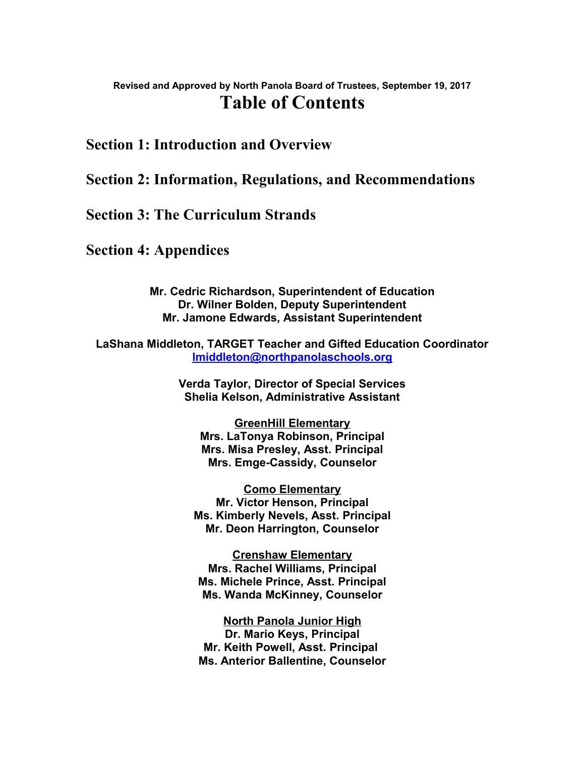### **Revised and Approved by North Panola Board of Trustees, September 19, 2017 Table of Contents**

### **Section 1: Introduction and Overview**

### **Section 2: Information, Regulations, and Recommendations**

### **Section 3: The Curriculum Strands**

**Section 4: Appendices**

**Mr. Cedric Richardson, Superintendent of Education Dr. Wilner Bolden, Deputy Superintendent Mr. Jamone Edwards, Assistant Superintendent**

**LaShana Middleton, TARGET Teacher and Gifted Education Coordinator [lmiddleton@northpanolaschools.org](mailto:lmiddleton@northpanolaschools.org)**

> **Verda Taylor, Director of Special Services Shelia Kelson, Administrative Assistant**

**GreenHill Elementary Mrs. LaTonya Robinson, Principal Mrs. Misa Presley, Asst. Principal Mrs. Emge-Cassidy, Counselor**

**Como Elementary Mr. Victor Henson, Principal Ms. Kimberly Nevels, Asst. Principal Mr. Deon Harrington, Counselor**

**Crenshaw Elementary Mrs. Rachel Williams, Principal Ms. Michele Prince, Asst. Principal Ms. Wanda McKinney, Counselor**

**North Panola Junior High Dr. Mario Keys, Principal Mr. Keith Powell, Asst. Principal Ms. Anterior Ballentine, Counselor**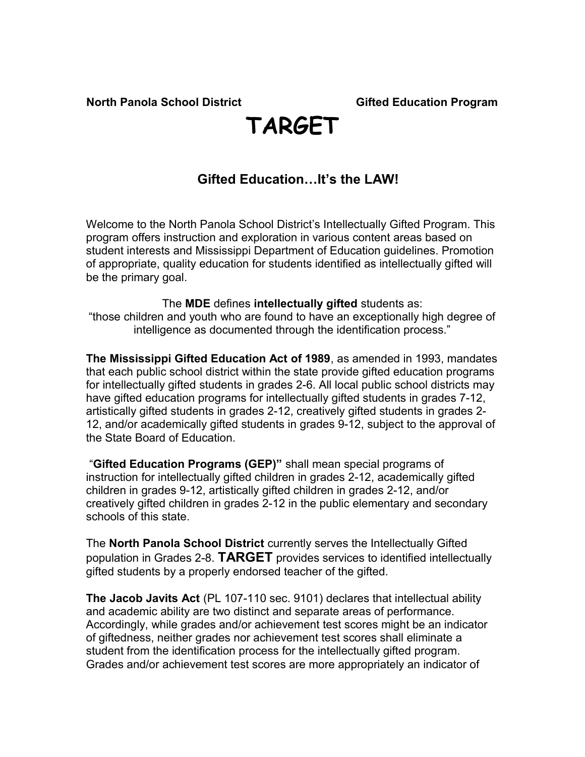# **TARGET**

### **Gifted Education…It's the LAW!**

Welcome to the North Panola School District's Intellectually Gifted Program. This program offers instruction and exploration in various content areas based on student interests and Mississippi Department of Education guidelines. Promotion of appropriate, quality education for students identified as intellectually gifted will be the primary goal.

The **MDE** defines **intellectually gifted** students as: "those children and youth who are found to have an exceptionally high degree of intelligence as documented through the identification process."

**The Mississippi Gifted Education Act of 1989**, as amended in 1993, mandates that each public school district within the state provide gifted education programs for intellectually gifted students in grades 2-6. All local public school districts may have gifted education programs for intellectually gifted students in grades 7-12, artistically gifted students in grades 2-12, creatively gifted students in grades 2- 12, and/or academically gifted students in grades 9-12, subject to the approval of the State Board of Education.

 "**Gifted Education Programs (GEP)"** shall mean special programs of instruction for intellectually gifted children in grades 2-12, academically gifted children in grades 9-12, artistically gifted children in grades 2-12, and/or creatively gifted children in grades 2-12 in the public elementary and secondary schools of this state.

The **North Panola School District** currently serves the Intellectually Gifted population in Grades 2-8. **TARGET** provides services to identified intellectually gifted students by a properly endorsed teacher of the gifted.

**The Jacob Javits Act** (PL 107-110 sec. 9101) declares that intellectual ability and academic ability are two distinct and separate areas of performance. Accordingly, while grades and/or achievement test scores might be an indicator of giftedness, neither grades nor achievement test scores shall eliminate a student from the identification process for the intellectually gifted program. Grades and/or achievement test scores are more appropriately an indicator of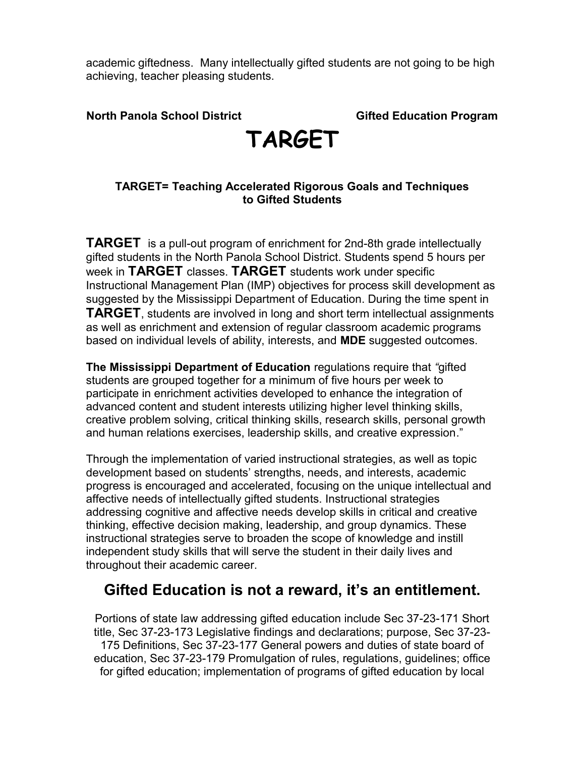academic giftedness. Many intellectually gifted students are not going to be high achieving, teacher pleasing students.

**North Panola School District Gifted Education Program** 

## **TARGET**

### **TARGET= Teaching Accelerated Rigorous Goals and Techniques to Gifted Students**

**TARGET** is a pull-out program of enrichment for 2nd-8th grade intellectually gifted students in the North Panola School District. Students spend 5 hours per week in **TARGET** classes. **TARGET** students work under specific Instructional Management Plan (IMP) objectives for process skill development as suggested by the Mississippi Department of Education. During the time spent in **TARGET**, students are involved in long and short term intellectual assignments as well as enrichment and extension of regular classroom academic programs based on individual levels of ability, interests, and **MDE** suggested outcomes.

**The Mississippi Department of Education** regulations require that *"*gifted students are grouped together for a minimum of five hours per week to participate in enrichment activities developed to enhance the integration of advanced content and student interests utilizing higher level thinking skills, creative problem solving, critical thinking skills, research skills, personal growth and human relations exercises, leadership skills, and creative expression."

Through the implementation of varied instructional strategies, as well as topic development based on students' strengths, needs, and interests, academic progress is encouraged and accelerated, focusing on the unique intellectual and affective needs of intellectually gifted students. Instructional strategies addressing cognitive and affective needs develop skills in critical and creative thinking, effective decision making, leadership, and group dynamics. These instructional strategies serve to broaden the scope of knowledge and instill independent study skills that will serve the student in their daily lives and throughout their academic career.

### **Gifted Education is not a reward, it's an entitlement.**

Portions of state law addressing gifted education include Sec 37-23-171 Short title, Sec 37-23-173 Legislative findings and declarations; purpose, Sec 37-23- 175 Definitions, Sec 37-23-177 General powers and duties of state board of education, Sec 37-23-179 Promulgation of rules, regulations, guidelines; office for gifted education; implementation of programs of gifted education by local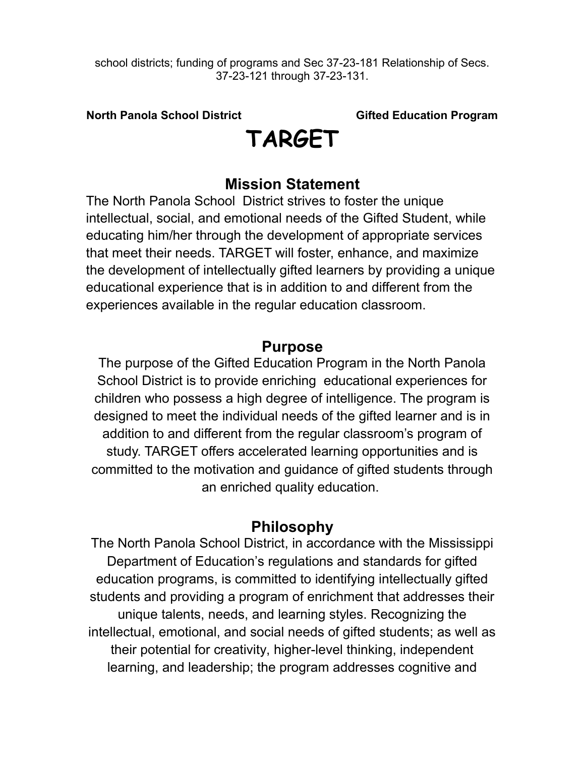school districts; funding of programs and Sec 37-23-181 Relationship of Secs. 37-23-121 through 37-23-131.

**North Panola School District Gifted Education Program** 

# **TARGET**

### **Mission Statement**

The North Panola School District strives to foster the unique intellectual, social, and emotional needs of the Gifted Student, while educating him/her through the development of appropriate services that meet their needs. TARGET will foster, enhance, and maximize the development of intellectually gifted learners by providing a unique educational experience that is in addition to and different from the experiences available in the regular education classroom.

### **Purpose**

The purpose of the Gifted Education Program in the North Panola School District is to provide enriching educational experiences for children who possess a high degree of intelligence. The program is designed to meet the individual needs of the gifted learner and is in addition to and different from the regular classroom's program of study. TARGET offers accelerated learning opportunities and is committed to the motivation and guidance of gifted students through an enriched quality education.

### **Philosophy**

The North Panola School District, in accordance with the Mississippi Department of Education's regulations and standards for gifted education programs, is committed to identifying intellectually gifted students and providing a program of enrichment that addresses their unique talents, needs, and learning styles. Recognizing the intellectual, emotional, and social needs of gifted students; as well as their potential for creativity, higher-level thinking, independent learning, and leadership; the program addresses cognitive and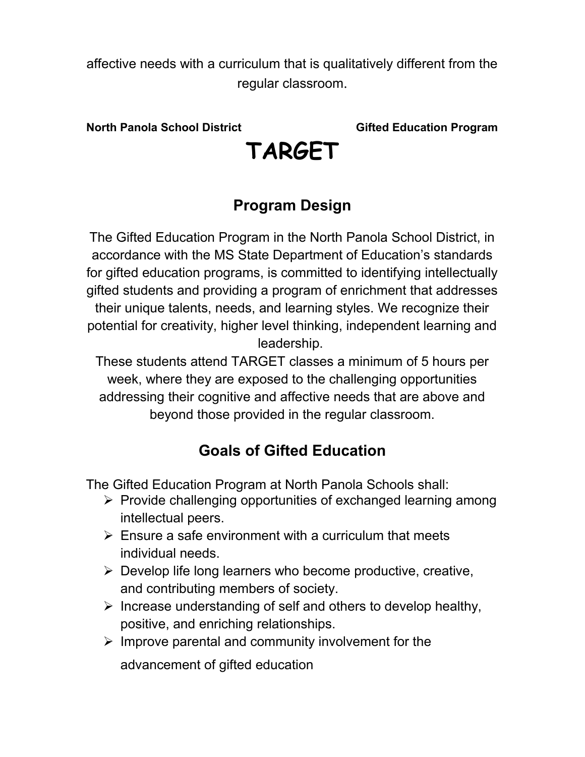affective needs with a curriculum that is qualitatively different from the regular classroom.

**North Panola School District Gifted Education Program** 

# **TARGET**

### **Program Design**

The Gifted Education Program in the North Panola School District, in accordance with the MS State Department of Education's standards for gifted education programs, is committed to identifying intellectually gifted students and providing a program of enrichment that addresses their unique talents, needs, and learning styles. We recognize their potential for creativity, higher level thinking, independent learning and leadership.

These students attend TARGET classes a minimum of 5 hours per week, where they are exposed to the challenging opportunities addressing their cognitive and affective needs that are above and beyond those provided in the regular classroom.

### **Goals of Gifted Education**

The Gifted Education Program at North Panola Schools shall:

- $\triangleright$  Provide challenging opportunities of exchanged learning among intellectual peers.
- $\triangleright$  Ensure a safe environment with a curriculum that meets individual needs.
- $\triangleright$  Develop life long learners who become productive, creative, and contributing members of society.
- $\triangleright$  Increase understanding of self and others to develop healthy, positive, and enriching relationships.
- $\triangleright$  Improve parental and community involvement for the

advancement of gifted education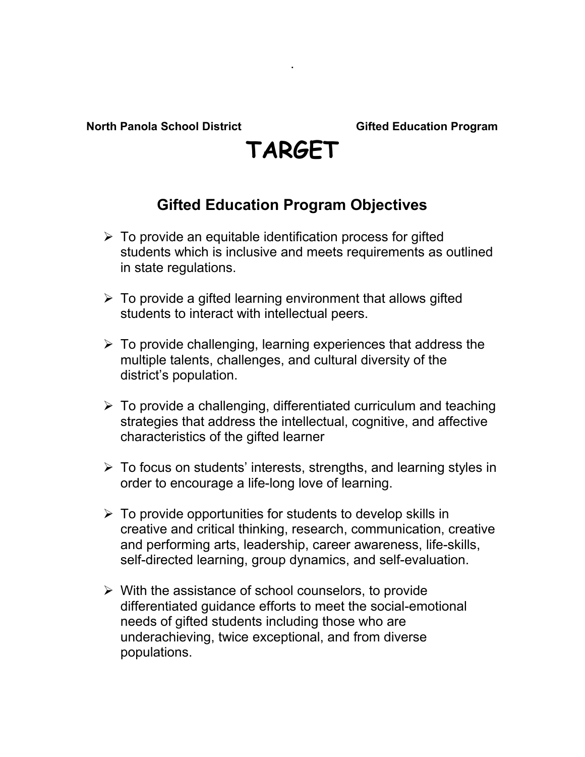# **TARGET**

.

### **Gifted Education Program Objectives**

- $\triangleright$  To provide an equitable identification process for gifted students which is inclusive and meets requirements as outlined in state regulations.
- $\triangleright$  To provide a gifted learning environment that allows gifted students to interact with intellectual peers.
- $\triangleright$  To provide challenging, learning experiences that address the multiple talents, challenges, and cultural diversity of the district's population.
- $\triangleright$  To provide a challenging, differentiated curriculum and teaching strategies that address the intellectual, cognitive, and affective characteristics of the gifted learner
- $\triangleright$  To focus on students' interests, strengths, and learning styles in order to encourage a life-long love of learning.
- $\triangleright$  To provide opportunities for students to develop skills in creative and critical thinking, research, communication, creative and performing arts, leadership, career awareness, life-skills, self-directed learning, group dynamics, and self-evaluation.
- $\triangleright$  With the assistance of school counselors, to provide differentiated guidance efforts to meet the social-emotional needs of gifted students including those who are underachieving, twice exceptional, and from diverse populations.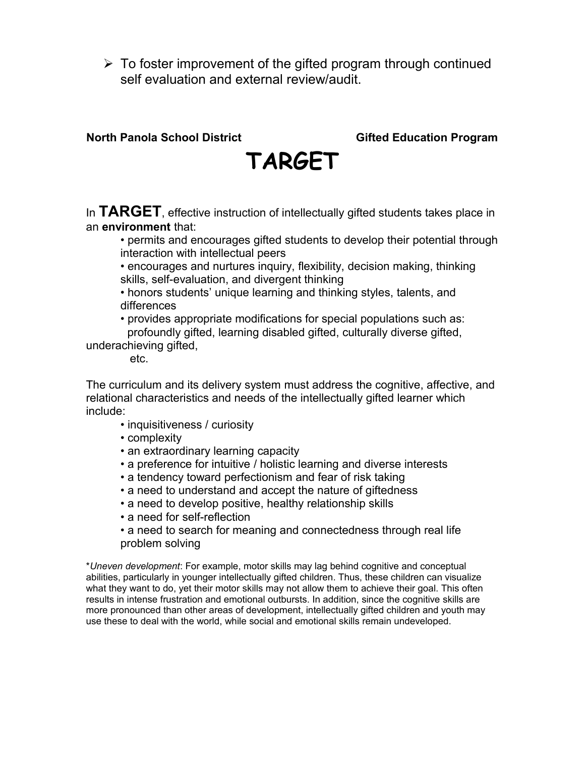$\triangleright$  To foster improvement of the gifted program through continued self evaluation and external review/audit.

### **North Panola School District Community Construction Cifted Education Program**



In **TARGET**, effective instruction of intellectually gifted students takes place in an **environment** that:

• permits and encourages gifted students to develop their potential through interaction with intellectual peers

• encourages and nurtures inquiry, flexibility, decision making, thinking skills, self-evaluation, and divergent thinking

• honors students' unique learning and thinking styles, talents, and differences

• provides appropriate modifications for special populations such as: profoundly gifted, learning disabled gifted, culturally diverse gifted,

underachieving gifted,

etc.

The curriculum and its delivery system must address the cognitive, affective, and relational characteristics and needs of the intellectually gifted learner which include:

- inquisitiveness / curiosity
- complexity
- an extraordinary learning capacity
- a preference for intuitive / holistic learning and diverse interests
- a tendency toward perfectionism and fear of risk taking
- a need to understand and accept the nature of giftedness
- a need to develop positive, healthy relationship skills
- a need for self-reflection
- a need to search for meaning and connectedness through real life problem solving

\**Uneven development*: For example, motor skills may lag behind cognitive and conceptual abilities, particularly in younger intellectually gifted children. Thus, these children can visualize what they want to do, yet their motor skills may not allow them to achieve their goal. This often results in intense frustration and emotional outbursts. In addition, since the cognitive skills are more pronounced than other areas of development, intellectually gifted children and youth may use these to deal with the world, while social and emotional skills remain undeveloped.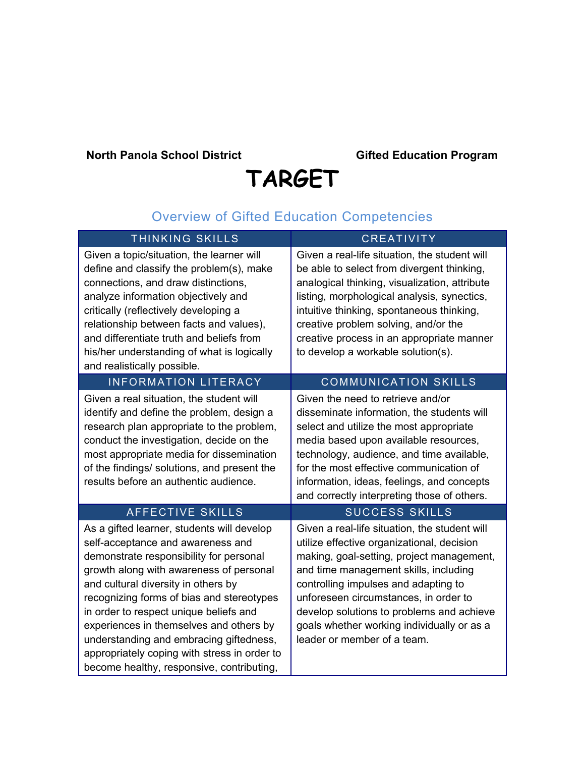# **TARGET**

### Overview of Gifted Education Competencies

| <b>THINKING SKILLS</b>                                                                                                                                                                                                                                                                                                                                                                                                                                                                 | <b>CREATIVITY</b>                                                                                                                                                                                                                                                                                                                                                                            |
|----------------------------------------------------------------------------------------------------------------------------------------------------------------------------------------------------------------------------------------------------------------------------------------------------------------------------------------------------------------------------------------------------------------------------------------------------------------------------------------|----------------------------------------------------------------------------------------------------------------------------------------------------------------------------------------------------------------------------------------------------------------------------------------------------------------------------------------------------------------------------------------------|
| Given a topic/situation, the learner will<br>define and classify the problem(s), make<br>connections, and draw distinctions,<br>analyze information objectively and<br>critically (reflectively developing a<br>relationship between facts and values),<br>and differentiate truth and beliefs from<br>his/her understanding of what is logically<br>and realistically possible.                                                                                                       | Given a real-life situation, the student will<br>be able to select from divergent thinking,<br>analogical thinking, visualization, attribute<br>listing, morphological analysis, synectics,<br>intuitive thinking, spontaneous thinking,<br>creative problem solving, and/or the<br>creative process in an appropriate manner<br>to develop a workable solution(s).                          |
| <b>INFORMATION LITERACY</b>                                                                                                                                                                                                                                                                                                                                                                                                                                                            | <b>COMMUNICATION SKILLS</b>                                                                                                                                                                                                                                                                                                                                                                  |
| Given a real situation, the student will<br>identify and define the problem, design a<br>research plan appropriate to the problem,<br>conduct the investigation, decide on the<br>most appropriate media for dissemination<br>of the findings/ solutions, and present the<br>results before an authentic audience.                                                                                                                                                                     | Given the need to retrieve and/or<br>disseminate information, the students will<br>select and utilize the most appropriate<br>media based upon available resources,<br>technology, audience, and time available,<br>for the most effective communication of<br>information, ideas, feelings, and concepts<br>and correctly interpreting those of others.                                     |
| <b>AFFECTIVE SKILLS</b>                                                                                                                                                                                                                                                                                                                                                                                                                                                                | <b>SUCCESS SKILLS</b>                                                                                                                                                                                                                                                                                                                                                                        |
| As a gifted learner, students will develop<br>self-acceptance and awareness and<br>demonstrate responsibility for personal<br>growth along with awareness of personal<br>and cultural diversity in others by<br>recognizing forms of bias and stereotypes<br>in order to respect unique beliefs and<br>experiences in themselves and others by<br>understanding and embracing giftedness,<br>appropriately coping with stress in order to<br>become healthy, responsive, contributing, | Given a real-life situation, the student will<br>utilize effective organizational, decision<br>making, goal-setting, project management,<br>and time management skills, including<br>controlling impulses and adapting to<br>unforeseen circumstances, in order to<br>develop solutions to problems and achieve<br>goals whether working individually or as a<br>leader or member of a team. |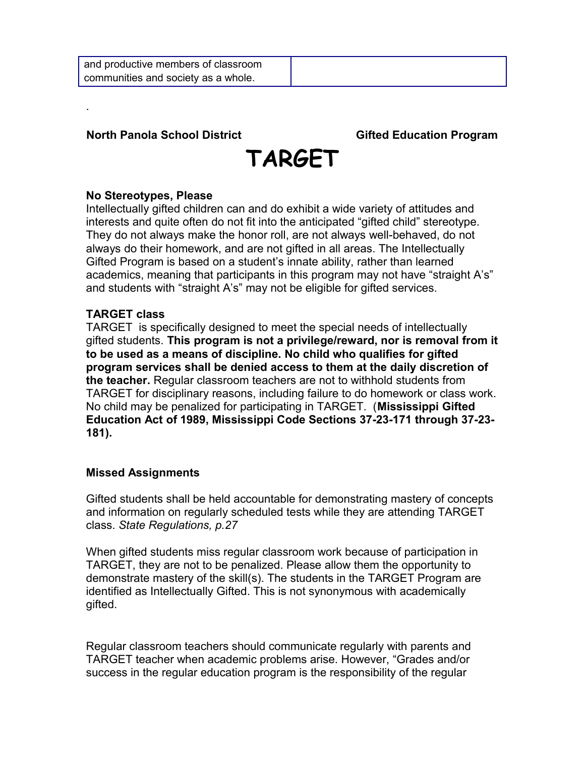

### **No Stereotypes, Please**

.

Intellectually gifted children can and do exhibit a wide variety of attitudes and interests and quite often do not fit into the anticipated "gifted child" stereotype. They do not always make the honor roll, are not always well-behaved, do not always do their homework, and are not gifted in all areas. The Intellectually Gifted Program is based on a student's innate ability, rather than learned academics, meaning that participants in this program may not have "straight A's" and students with "straight A's" may not be eligible for gifted services.

### **TARGET class**

TARGET is specifically designed to meet the special needs of intellectually gifted students. **This program is not a privilege/reward, nor is removal from it to be used as a means of discipline. No child who qualifies for gifted program services shall be denied access to them at the daily discretion of the teacher.** Regular classroom teachers are not to withhold students from TARGET for disciplinary reasons, including failure to do homework or class work. No child may be penalized for participating in TARGET. (**Mississippi Gifted Education Act of 1989, Mississippi Code Sections 37-23-171 through 37-23- 181).**

### **Missed Assignments**

Gifted students shall be held accountable for demonstrating mastery of concepts and information on regularly scheduled tests while they are attending TARGET class. *State Regulations, p.27*

When gifted students miss regular classroom work because of participation in TARGET, they are not to be penalized. Please allow them the opportunity to demonstrate mastery of the skill(s). The students in the TARGET Program are identified as Intellectually Gifted. This is not synonymous with academically gifted.

Regular classroom teachers should communicate regularly with parents and TARGET teacher when academic problems arise. However, "Grades and/or success in the regular education program is the responsibility of the regular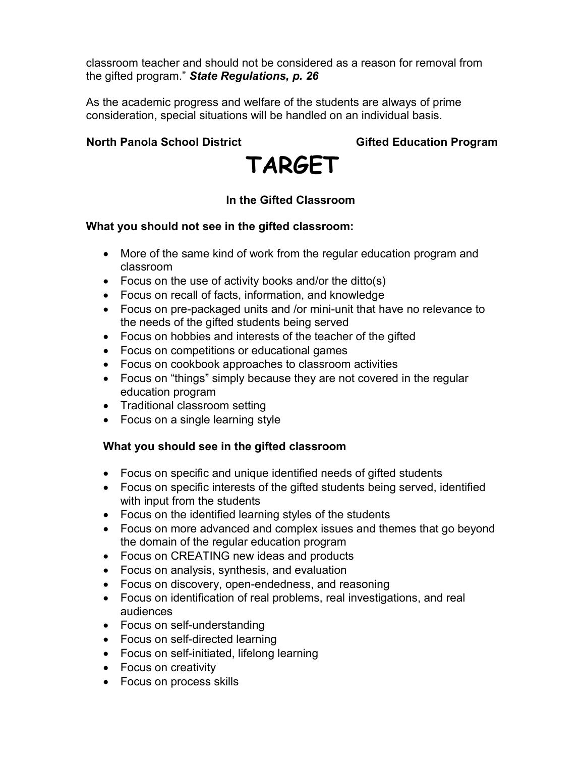classroom teacher and should not be considered as a reason for removal from the gifted program." *State Regulations, p. 26* 

As the academic progress and welfare of the students are always of prime consideration, special situations will be handled on an individual basis.

### **North Panola School District Community Construction Cifted Education Program**



### **In the Gifted Classroom**

### **What you should not see in the gifted classroom:**

- More of the same kind of work from the regular education program and classroom
- Focus on the use of activity books and/or the ditto(s)
- Focus on recall of facts, information, and knowledge
- Focus on pre-packaged units and /or mini-unit that have no relevance to the needs of the gifted students being served
- Focus on hobbies and interests of the teacher of the gifted
- Focus on competitions or educational games
- Focus on cookbook approaches to classroom activities
- Focus on "things" simply because they are not covered in the regular education program
- Traditional classroom setting
- Focus on a single learning style

### **What you should see in the gifted classroom**

- Focus on specific and unique identified needs of gifted students
- Focus on specific interests of the gifted students being served, identified with input from the students
- Focus on the identified learning styles of the students
- Focus on more advanced and complex issues and themes that go beyond the domain of the regular education program
- Focus on CREATING new ideas and products
- Focus on analysis, synthesis, and evaluation
- Focus on discovery, open-endedness, and reasoning
- Focus on identification of real problems, real investigations, and real audiences
- Focus on self-understanding
- Focus on self-directed learning
- Focus on self-initiated, lifelong learning
- Focus on creativity
- Focus on process skills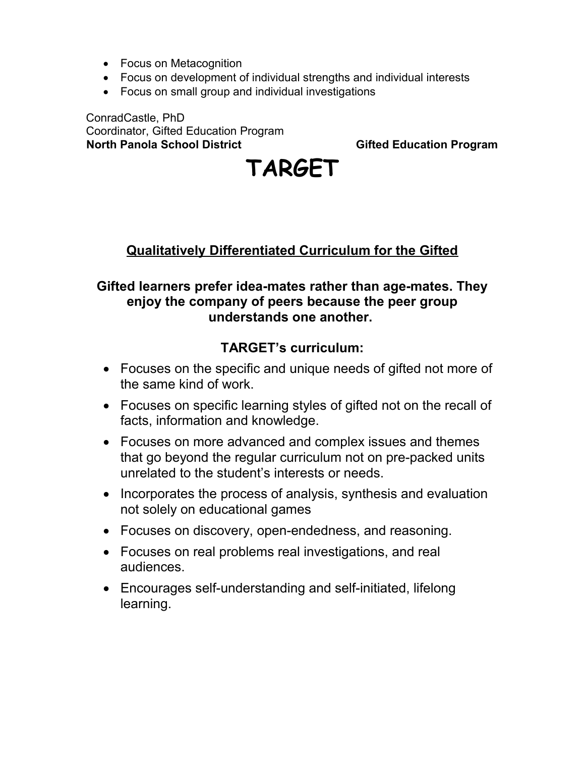- Focus on Metacognition
- Focus on development of individual strengths and individual interests
- Focus on small group and individual investigations

ConradCastle, PhD Coordinator, Gifted Education Program **North Panola School District Communist Construction Cifted Education Program** 

# **TARGET**

### **Qualitatively Differentiated Curriculum for the Gifted**

### **Gifted learners prefer idea-mates rather than age-mates. They enjoy the company of peers because the peer group understands one another.**

### **TARGET's curriculum:**

- Focuses on the specific and unique needs of gifted not more of the same kind of work.
- Focuses on specific learning styles of gifted not on the recall of facts, information and knowledge.
- Focuses on more advanced and complex issues and themes that go beyond the regular curriculum not on pre-packed units unrelated to the student's interests or needs.
- Incorporates the process of analysis, synthesis and evaluation not solely on educational games
- Focuses on discovery, open-endedness, and reasoning.
- Focuses on real problems real investigations, and real audiences.
- Encourages self-understanding and self-initiated, lifelong learning.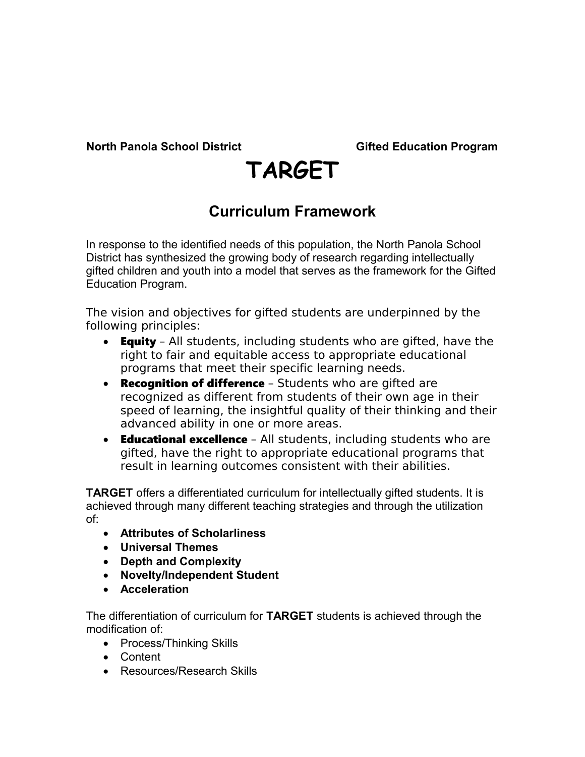# **TARGET**

### **Curriculum Framework**

In response to the identified needs of this population, the North Panola School District has synthesized the growing body of research regarding intellectually gifted children and youth into a model that serves as the framework for the Gifted Education Program.

The vision and objectives for gifted students are underpinned by the following principles:

- **Equity** All students, including students who are gifted, have the right to fair and equitable access to appropriate educational programs that meet their specific learning needs.
- Recognition of difference Students who are gifted are recognized as different from students of their own age in their speed of learning, the insightful quality of their thinking and their advanced ability in one or more areas.
- Educational excellence All students, including students who are gifted, have the right to appropriate educational programs that result in learning outcomes consistent with their abilities.

**TARGET** offers a differentiated curriculum for intellectually gifted students. It is achieved through many different teaching strategies and through the utilization of:

- **Attributes of Scholarliness**
- **Universal Themes**
- **Depth and Complexity**
- **Novelty/Independent Student**
- **Acceleration**

The differentiation of curriculum for **TARGET** students is achieved through the modification of:

- Process/Thinking Skills
- Content
- Resources/Research Skills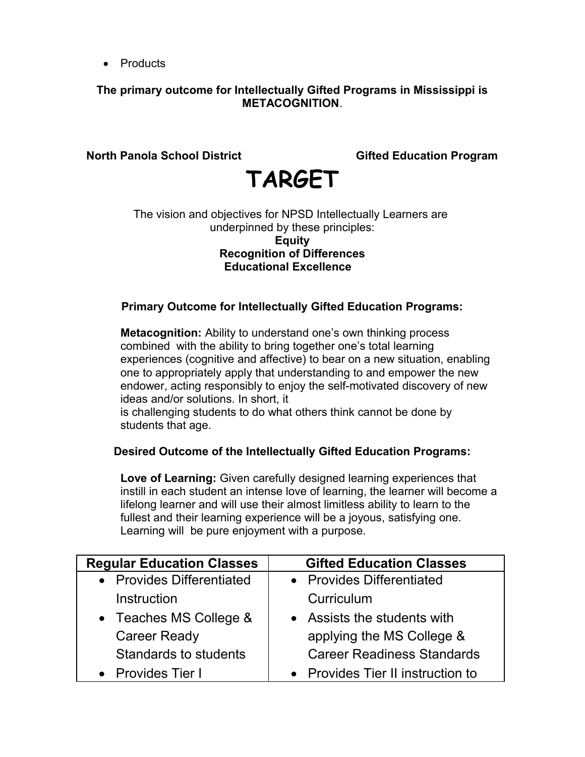• Products

### **The primary outcome for Intellectually Gifted Programs in Mississippi is METACOGNITION**.

### **North Panola School District Gifted Education Program**

# **TARGET**

#### The vision and objectives for NPSD Intellectually Learners are underpinned by these principles: **Equity Recognition of Differences Educational Excellence**

### **Primary Outcome for Intellectually Gifted Education Programs:**

**Metacognition:** Ability to understand one's own thinking process combined with the ability to bring together one's total learning experiences (cognitive and affective) to bear on a new situation, enabling one to appropriately apply that understanding to and empower the new endower, acting responsibly to enjoy the self-motivated discovery of new ideas and/or solutions. In short, it

is challenging students to do what others think cannot be done by students that age.

### **Desired Outcome of the Intellectually Gifted Education Programs:**

**Love of Learning:** Given carefully designed learning experiences that instill in each student an intense love of learning, the learner will become a lifelong learner and will use their almost limitless ability to learn to the fullest and their learning experience will be a joyous, satisfying one. Learning will be pure enjoyment with a purpose.

| <b>Regular Education Classes</b> | <b>Gifted Education Classes</b>   |
|----------------------------------|-----------------------------------|
| • Provides Differentiated        | • Provides Differentiated         |
| Instruction                      | Curriculum                        |
| • Teaches MS College &           | • Assists the students with       |
| <b>Career Ready</b>              | applying the MS College &         |
| Standards to students            | <b>Career Readiness Standards</b> |
| • Provides Tier I                | • Provides Tier II instruction to |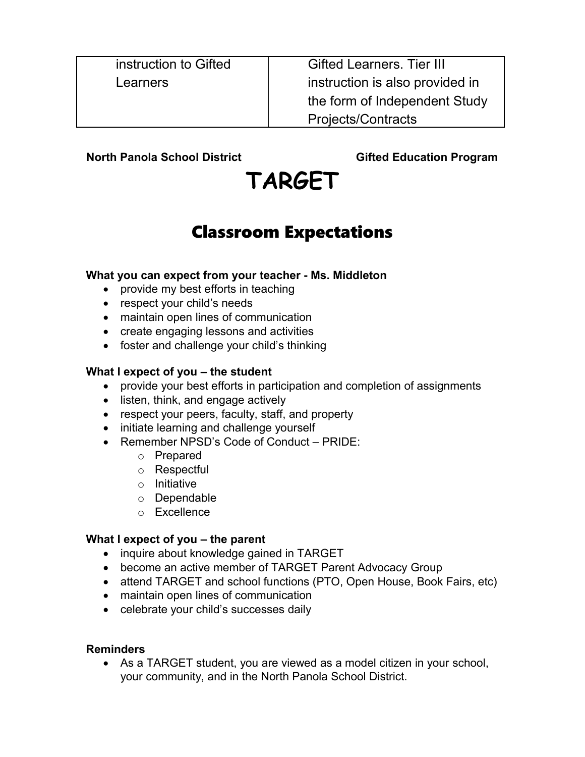instruction to Gifted Learners

Gifted Learners. Tier III instruction is also provided in the form of Independent Study Projects/Contracts

**North Panola School District Community Construction Cifted Education Program** 

# **TARGET**

### Classroom Expectations

### **What you can expect from your teacher - Ms. Middleton**

- provide my best efforts in teaching
- respect your child's needs
- maintain open lines of communication
- create engaging lessons and activities
- foster and challenge your child's thinking

### **What I expect of you – the student**

- provide your best efforts in participation and completion of assignments
- listen, think, and engage actively
- respect your peers, faculty, staff, and property
- initiate learning and challenge yourself
- Remember NPSD's Code of Conduct PRIDE:
	- o Prepared
	- o Respectful
	- o Initiative
	- o Dependable
	- o Excellence

### **What I expect of you – the parent**

- inquire about knowledge gained in TARGET
- become an active member of TARGET Parent Advocacy Group
- attend TARGET and school functions (PTO, Open House, Book Fairs, etc)
- maintain open lines of communication
- celebrate your child's successes daily

### **Reminders**

 As a TARGET student, you are viewed as a model citizen in your school, your community, and in the North Panola School District.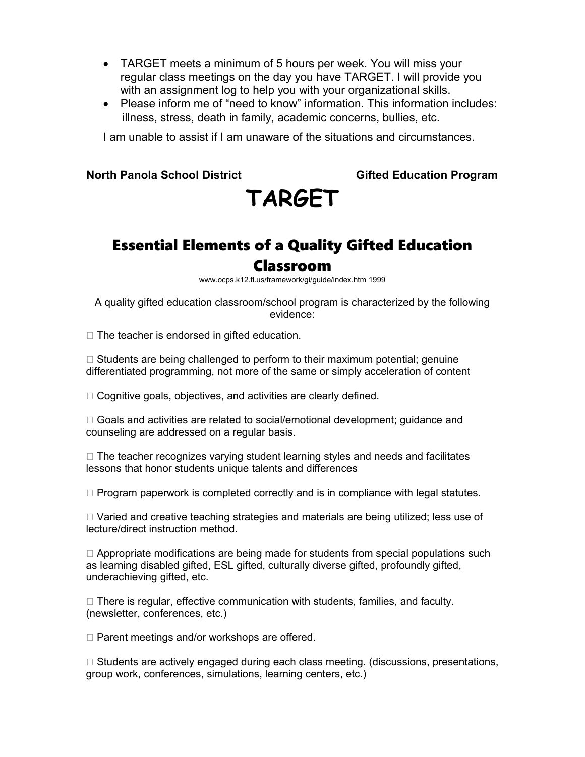- TARGET meets a minimum of 5 hours per week. You will miss your regular class meetings on the day you have TARGET. I will provide you with an assignment log to help you with your organizational skills.
- Please inform me of "need to know" information. This information includes: illness, stress, death in family, academic concerns, bullies, etc.

I am unable to assist if I am unaware of the situations and circumstances.

#### **North Panola School District Community Construction Cifted Education Program**

# **TARGET**

# Essential Elements of a Quality Gifted Education

### Classroom

www.ocps.k12.fl.us/framework/gi/guide/index.htm 1999

A quality gifted education classroom/school program is characterized by the following evidence:

 $\Box$  The teacher is endorsed in gifted education.

 $\Box$  Students are being challenged to perform to their maximum potential; genuine differentiated programming, not more of the same or simply acceleration of content

 $\Box$  Cognitive goals, objectives, and activities are clearly defined.

□ Goals and activities are related to social/emotional development; guidance and counseling are addressed on a regular basis.

 $\Box$  The teacher recognizes varying student learning styles and needs and facilitates lessons that honor students unique talents and differences

 $\Box$  Program paperwork is completed correctly and is in compliance with legal statutes.

 $\Box$  Varied and creative teaching strategies and materials are being utilized; less use of lecture/direct instruction method.

 $\Box$  Appropriate modifications are being made for students from special populations such as learning disabled gifted, ESL gifted, culturally diverse gifted, profoundly gifted, underachieving gifted, etc.

 $\Box$  There is regular, effective communication with students, families, and faculty. (newsletter, conferences, etc.)

 $\Box$  Parent meetings and/or workshops are offered.

 $\Box$  Students are actively engaged during each class meeting. (discussions, presentations, group work, conferences, simulations, learning centers, etc.)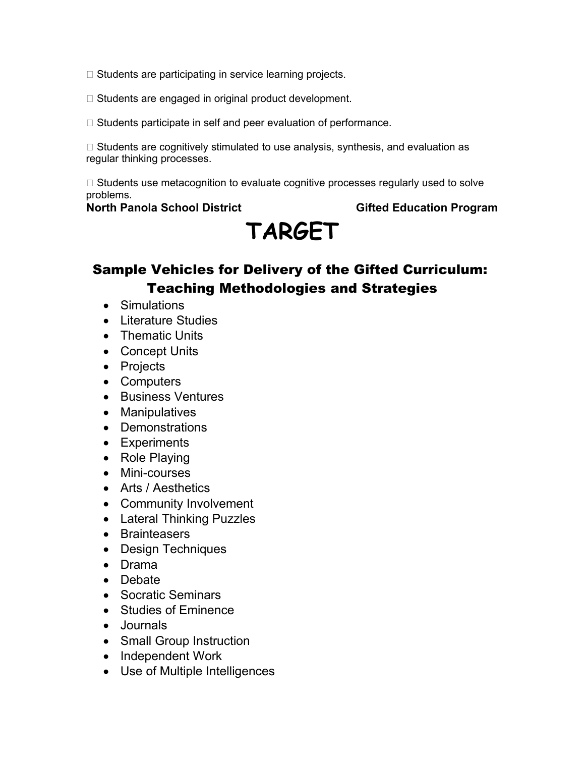- $\Box$  Students are participating in service learning projects.
- $\Box$  Students are engaged in original product development.
- $\Box$  Students participate in self and peer evaluation of performance.

 $\Box$  Students are cognitively stimulated to use analysis, synthesis, and evaluation as regular thinking processes.

 $\Box$  Students use metacognition to evaluate cognitive processes regularly used to solve problems.

### **North Panola School District Community Construction Cifted Education Program**

# **TARGET**

### Sample Vehicles for Delivery of the Gifted Curriculum: Teaching Methodologies and Strategies

- Simulations
- Literature Studies
- Thematic Units
- Concept Units
- Projects
- Computers
- Business Ventures
- Manipulatives
- Demonstrations
- Experiments
- Role Playing
- Mini-courses
- Arts / Aesthetics
- Community Involvement
- Lateral Thinking Puzzles
- Brainteasers
- Design Techniques
- Drama
- Debate
- Socratic Seminars
- Studies of Eminence
- Journals
- Small Group Instruction
- Independent Work
- Use of Multiple Intelligences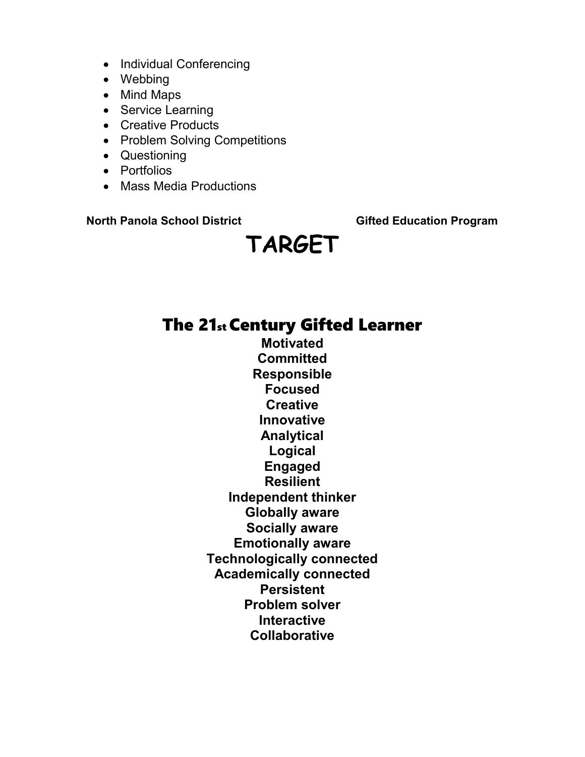- Individual Conferencing
- Webbing
- Mind Maps
- Service Learning
- Creative Products
- Problem Solving Competitions
- Questioning
- Portfolios
- Mass Media Productions

# **TARGET**

### The 21st Century Gifted Learner

**Motivated Committed Responsible Focused Creative Innovative Analytical Logical Engaged Resilient Independent thinker Globally aware Socially aware Emotionally aware Technologically connected Academically connected Persistent Problem solver Interactive Collaborative**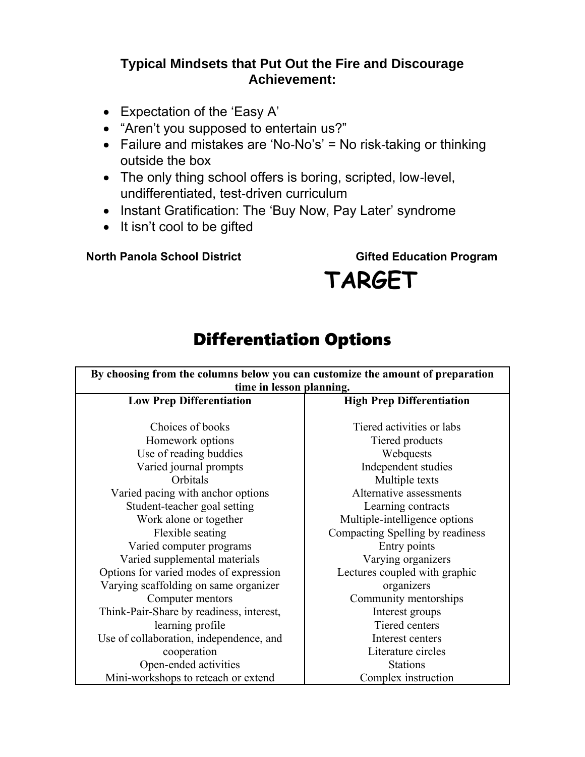### **Typical Mindsets that Put Out the Fire and Discourage Achievement:**

- Expectation of the 'Easy A'
- "Aren't you supposed to entertain us?"
- Failure and mistakes are 'No‐No's' = No risk‐taking or thinking outside the box
- The only thing school offers is boring, scripted, low-level, undifferentiated, test‐driven curriculum
- Instant Gratification: The 'Buy Now, Pay Later' syndrome
- It isn't cool to be gifted

**North Panola School District Communist Construction Cifted Education Program** 

# **TARGET**

### Differentiation Options

| By choosing from the columns below you can customize the amount of preparation |                                  |  |  |
|--------------------------------------------------------------------------------|----------------------------------|--|--|
| time in lesson planning.                                                       |                                  |  |  |
| <b>Low Prep Differentiation</b>                                                | <b>High Prep Differentiation</b> |  |  |
|                                                                                |                                  |  |  |
| Choices of books                                                               | Tiered activities or labs        |  |  |
| Homework options                                                               | Tiered products                  |  |  |
| Use of reading buddies                                                         | Webquests                        |  |  |
| Varied journal prompts                                                         | Independent studies              |  |  |
| Orbitals                                                                       | Multiple texts                   |  |  |
| Varied pacing with anchor options                                              | Alternative assessments          |  |  |
| Student-teacher goal setting                                                   | Learning contracts               |  |  |
| Work alone or together                                                         | Multiple-intelligence options    |  |  |
| Flexible seating                                                               | Compacting Spelling by readiness |  |  |
| Varied computer programs                                                       | Entry points                     |  |  |
| Varied supplemental materials                                                  | Varying organizers               |  |  |
| Options for varied modes of expression                                         | Lectures coupled with graphic    |  |  |
| Varying scaffolding on same organizer                                          | organizers                       |  |  |
| Computer mentors                                                               | Community mentorships            |  |  |
| Think-Pair-Share by readiness, interest,                                       | Interest groups                  |  |  |
| learning profile                                                               | Tiered centers                   |  |  |
| Use of collaboration, independence, and                                        | Interest centers                 |  |  |
| cooperation                                                                    | Literature circles               |  |  |
| Open-ended activities                                                          | <b>Stations</b>                  |  |  |
| Mini-workshops to reteach or extend                                            | Complex instruction              |  |  |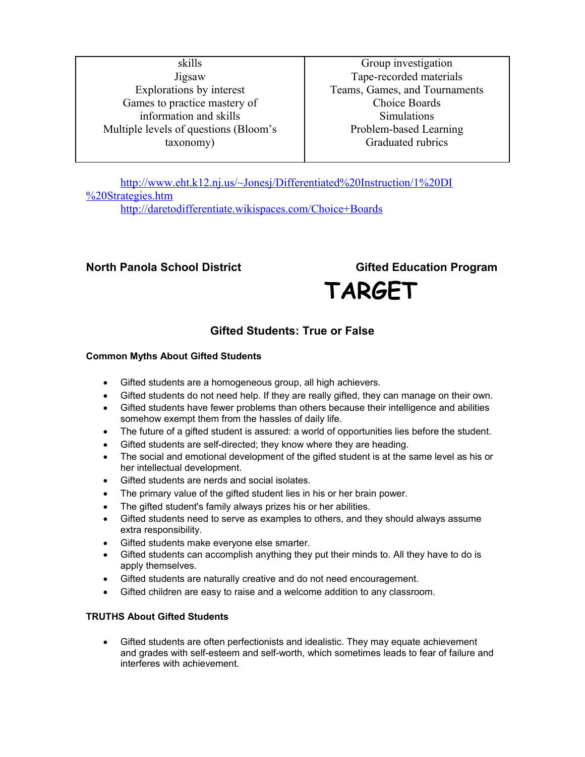skills Jigsaw Explorations by interest Games to practice mastery of information and skills Multiple levels of questions (Bloom's taxonomy)

Group investigation Tape-recorded materials Teams, Games, and Tournaments Choice Boards **Simulations** Problem-based Learning Graduated rubrics

[http://www.eht.k12.nj.us/~Jonesj/Differentiated%20Instruction/1%20DI](http://www.eht.k12.nj.us/~Jonesj/Differentiated%20Instruction/1%20DI%20Strategies.htm) [%20Strategies.htm](http://www.eht.k12.nj.us/~Jonesj/Differentiated%20Instruction/1%20DI%20Strategies.htm) <http://daretodifferentiate.wikispaces.com/Choice+Boards>

### **North Panola School District Community Construction Cifted Education Program**

 **TARGET**

### **Gifted Students: True or False**

#### **Common Myths About Gifted Students**

- Gifted students are a homogeneous group, all high achievers.
- Gifted students do not need help. If they are really gifted, they can manage on their own.
- Gifted students have fewer problems than others because their intelligence and abilities somehow exempt them from the hassles of daily life.
- The future of a gifted student is assured: a world of opportunities lies before the student.
- Gifted students are self-directed; they know where they are heading.
- The social and emotional development of the gifted student is at the same level as his or her intellectual development.
- Gifted students are nerds and social isolates.
- The primary value of the gifted student lies in his or her brain power.
- The gifted student's family always prizes his or her abilities.
- Gifted students need to serve as examples to others, and they should always assume extra responsibility.
- Gifted students make everyone else smarter.
- Gifted students can accomplish anything they put their minds to. All they have to do is apply themselves.
- Gifted students are naturally creative and do not need encouragement.
- Gifted children are easy to raise and a welcome addition to any classroom.

#### **TRUTHS About Gifted Students**

 Gifted students are often perfectionists and idealistic. They may equate achievement and grades with self-esteem and self-worth, which sometimes leads to fear of failure and interferes with achievement.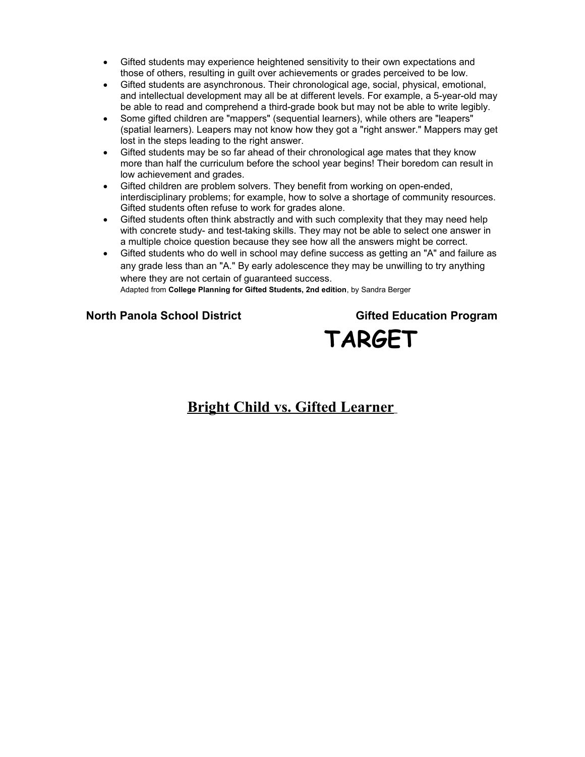- Gifted students may experience heightened sensitivity to their own expectations and those of others, resulting in guilt over achievements or grades perceived to be low.
- Gifted students are asynchronous. Their chronological age, social, physical, emotional, and intellectual development may all be at different levels. For example, a 5-year-old may be able to read and comprehend a third-grade book but may not be able to write legibly.
- Some gifted children are "mappers" (sequential learners), while others are "leapers" (spatial learners). Leapers may not know how they got a "right answer." Mappers may get lost in the steps leading to the right answer.
- Gifted students may be so far ahead of their chronological age mates that they know more than half the curriculum before the school year begins! Their boredom can result in low achievement and grades.
- Gifted children are problem solvers. They benefit from working on open-ended, interdisciplinary problems; for example, how to solve a shortage of community resources. Gifted students often refuse to work for grades alone.
- Gifted students often think abstractly and with such complexity that they may need help with concrete study- and test-taking skills. They may not be able to select one answer in a multiple choice question because they see how all the answers might be correct.
- Gifted students who do well in school may define success as getting an "A" and failure as any grade less than an "A." By early adolescence they may be unwilling to try anything where they are not certain of guaranteed success. Adapted from **College Planning for Gifted Students, 2nd edition**, by Sandra Berger

**North Panola School District Gifted Education Program TARGET**

### **Bright Child vs. Gifted Learner**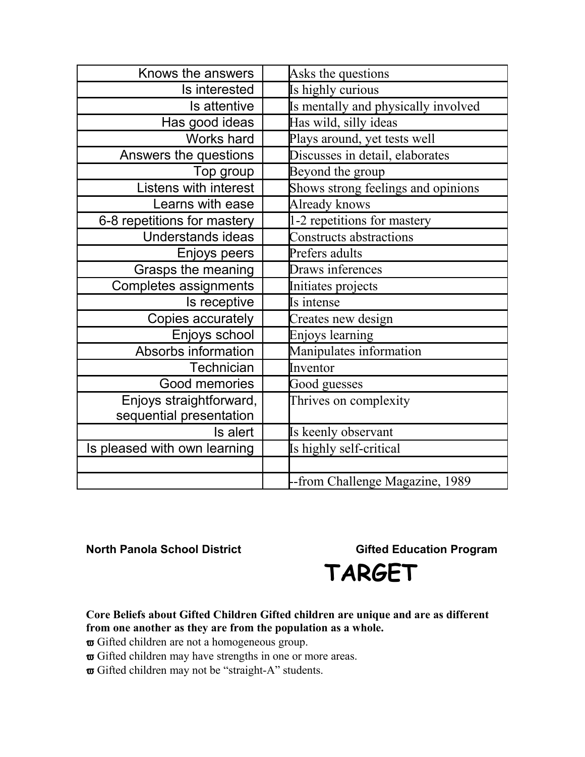| Knows the answers            | Asks the questions                  |
|------------------------------|-------------------------------------|
| Is interested                | Is highly curious                   |
| Is attentive                 | Is mentally and physically involved |
| Has good ideas               | Has wild, silly ideas               |
| Works hard                   | Plays around, yet tests well        |
| Answers the questions        | Discusses in detail, elaborates     |
| Top group                    | Beyond the group                    |
| <b>Listens with interest</b> | Shows strong feelings and opinions  |
| Learns with ease             | Already knows                       |
| 6-8 repetitions for mastery  | 1-2 repetitions for mastery         |
| <b>Understands ideas</b>     | Constructs abstractions             |
| Enjoys peers                 | Prefers adults                      |
| Grasps the meaning           | Draws inferences                    |
| Completes assignments        | Initiates projects                  |
| Is receptive                 | Is intense                          |
| Copies accurately            | Creates new design                  |
| Enjoys school                | Enjoys learning                     |
| Absorbs information          | Manipulates information             |
| Technician                   | Inventor                            |
| Good memories                | Good guesses                        |
| Enjoys straightforward,      | Thrives on complexity               |
| sequential presentation      |                                     |
| Is alert                     | Is keenly observant                 |
| Is pleased with own learning | Is highly self-critical             |
|                              |                                     |
|                              | -from Challenge Magazine, 1989      |



**Core Beliefs about Gifted Children Gifted children are unique and are as different from one another as they are from the population as a whole.**

- $\sigma$  Gifted children are not a homogeneous group.
- $\varpi$  Gifted children may have strengths in one or more areas.
- $\boldsymbol{\varpi}$  Gifted children may not be "straight-A" students.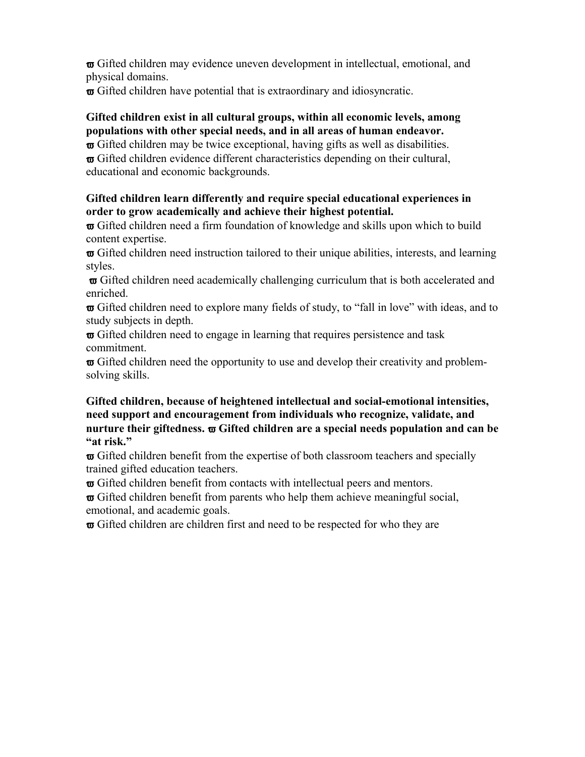Gifted children may evidence uneven development in intellectual, emotional, and physical domains.

Gifted children have potential that is extraordinary and idiosyncratic.

### **Gifted children exist in all cultural groups, within all economic levels, among populations with other special needs, and in all areas of human endeavor.**

 $\sigma$  Gifted children may be twice exceptional, having gifts as well as disabilities.  $\sigma$  Gifted children evidence different characteristics depending on their cultural, educational and economic backgrounds.

### **Gifted children learn differently and require special educational experiences in order to grow academically and achieve their highest potential.**

 $\sigma$  Gifted children need a firm foundation of knowledge and skills upon which to build content expertise.

 $\sigma$  Gifted children need instruction tailored to their unique abilities, interests, and learning styles.

 Gifted children need academically challenging curriculum that is both accelerated and enriched.

 Gifted children need to explore many fields of study, to "fall in love" with ideas, and to study subjects in depth.

 $\sigma$  Gifted children need to engage in learning that requires persistence and task commitment.

 $\boldsymbol{\varpi}$  Gifted children need the opportunity to use and develop their creativity and problemsolving skills.

#### **Gifted children, because of heightened intellectual and social-emotional intensities, need support and encouragement from individuals who recognize, validate, and nurture their giftedness. Gifted children are a special needs population and can be "at risk."**

 $\sigma$  Gifted children benefit from the expertise of both classroom teachers and specially trained gifted education teachers.

 $\boldsymbol{\varpi}$  Gifted children benefit from contacts with intellectual peers and mentors.

 $\sigma$  Gifted children benefit from parents who help them achieve meaningful social, emotional, and academic goals.

 $\sigma$  Gifted children are children first and need to be respected for who they are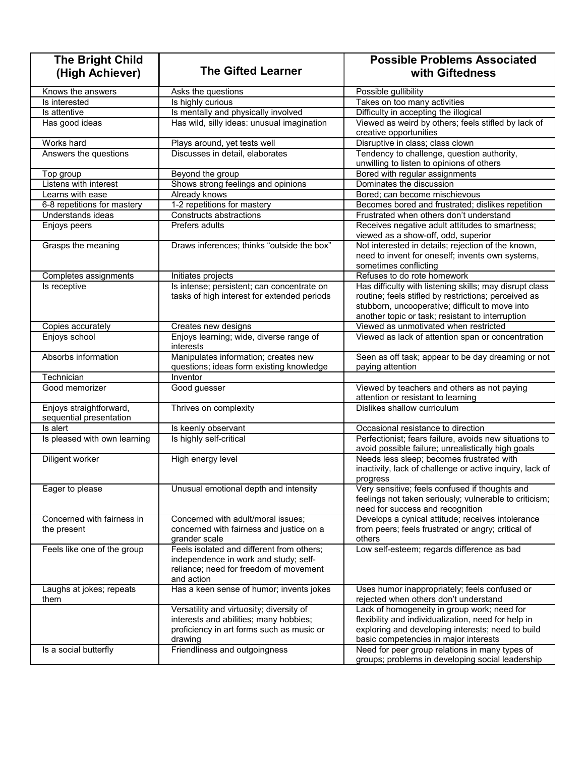| <b>The Bright Child</b><br>(High Achiever)         | <b>The Gifted Learner</b>                                                                                                                  | <b>Possible Problems Associated</b><br>with Giftedness                                                                                                                                                                 |
|----------------------------------------------------|--------------------------------------------------------------------------------------------------------------------------------------------|------------------------------------------------------------------------------------------------------------------------------------------------------------------------------------------------------------------------|
| Knows the answers                                  | Asks the questions                                                                                                                         | Possible gullibility                                                                                                                                                                                                   |
| Is interested                                      | Is highly curious                                                                                                                          | Takes on too many activities                                                                                                                                                                                           |
| Is attentive                                       | Is mentally and physically involved                                                                                                        | Difficulty in accepting the illogical                                                                                                                                                                                  |
| Has good ideas                                     | Has wild, silly ideas: unusual imagination                                                                                                 | Viewed as weird by others; feels stifled by lack of<br>creative opportunities                                                                                                                                          |
| Works hard                                         | Plays around, yet tests well                                                                                                               | Disruptive in class; class clown                                                                                                                                                                                       |
| Answers the questions                              | Discusses in detail, elaborates                                                                                                            | Tendency to challenge, question authority,<br>unwilling to listen to opinions of others                                                                                                                                |
| Top group                                          | Beyond the group                                                                                                                           | Bored with regular assignments                                                                                                                                                                                         |
| Listens with interest                              | Shows strong feelings and opinions                                                                                                         | Dominates the discussion                                                                                                                                                                                               |
| Learns with ease                                   | Already knows                                                                                                                              | Bored; can become mischievous                                                                                                                                                                                          |
| 6-8 repetitions for mastery                        | 1-2 repetitions for mastery                                                                                                                | Becomes bored and frustrated; dislikes repetition                                                                                                                                                                      |
| Understands ideas                                  | Constructs abstractions                                                                                                                    | Frustrated when others don't understand                                                                                                                                                                                |
| Enjoys peers                                       | Prefers adults                                                                                                                             | Receives negative adult attitudes to smartness;<br>viewed as a show-off, odd, superior                                                                                                                                 |
| Grasps the meaning                                 | Draws inferences; thinks "outside the box"                                                                                                 | Not interested in details; rejection of the known,<br>need to invent for oneself; invents own systems,<br>sometimes conflicting                                                                                        |
| Completes assignments                              | Initiates projects                                                                                                                         | Refuses to do rote homework                                                                                                                                                                                            |
| Is receptive                                       | Is intense; persistent; can concentrate on<br>tasks of high interest for extended periods                                                  | Has difficulty with listening skills; may disrupt class<br>routine; feels stifled by restrictions; perceived as<br>stubborn, uncooperative; difficult to move into<br>another topic or task; resistant to interruption |
| Copies accurately                                  | Creates new designs                                                                                                                        | Viewed as unmotivated when restricted                                                                                                                                                                                  |
| Enjoys school                                      | Enjoys learning; wide, diverse range of<br>interests                                                                                       | Viewed as lack of attention span or concentration                                                                                                                                                                      |
| Absorbs information                                | Manipulates information; creates new<br>questions; ideas form existing knowledge                                                           | Seen as off task; appear to be day dreaming or not<br>paying attention                                                                                                                                                 |
| Technician                                         | Inventor                                                                                                                                   |                                                                                                                                                                                                                        |
| Good memorizer                                     | Good guesser                                                                                                                               | Viewed by teachers and others as not paying<br>attention or resistant to learning                                                                                                                                      |
| Enjoys straightforward,<br>sequential presentation | Thrives on complexity                                                                                                                      | Dislikes shallow curriculum                                                                                                                                                                                            |
| Is alert                                           | Is keenly observant                                                                                                                        | Occasional resistance to direction                                                                                                                                                                                     |
| Is pleased with own learning                       | Is highly self-critical                                                                                                                    | Perfectionist; fears failure, avoids new situations to<br>avoid possible failure; unrealistically high goals                                                                                                           |
| Diligent worker                                    | High energy level                                                                                                                          | Needs less sleep; becomes frustrated with<br>inactivity, lack of challenge or active inquiry, lack of<br>progress                                                                                                      |
| Eager to please                                    | Unusual emotional depth and intensity                                                                                                      | Very sensitive; feels confused if thoughts and<br>feelings not taken seriously; vulnerable to criticism;<br>need for success and recognition                                                                           |
| Concerned with fairness in<br>the present          | Concerned with adult/moral issues;<br>concerned with fairness and justice on a<br>grander scale                                            | Develops a cynical attitude; receives intolerance<br>from peers; feels frustrated or angry; critical of<br>others                                                                                                      |
| Feels like one of the group                        | Feels isolated and different from others;<br>independence in work and study; self-<br>reliance; need for freedom of movement<br>and action | Low self-esteem; regards difference as bad                                                                                                                                                                             |
| Laughs at jokes; repeats<br>them                   | Has a keen sense of humor; invents jokes                                                                                                   | Uses humor inappropriately; feels confused or<br>rejected when others don't understand                                                                                                                                 |
|                                                    | Versatility and virtuosity; diversity of<br>interests and abilities; many hobbies;<br>proficiency in art forms such as music or<br>drawing | Lack of homogeneity in group work; need for<br>flexibility and individualization, need for help in<br>exploring and developing interests; need to build<br>basic competencies in major interests                       |
| Is a social butterfly                              | Friendliness and outgoingness                                                                                                              | Need for peer group relations in many types of<br>groups; problems in developing social leadership                                                                                                                     |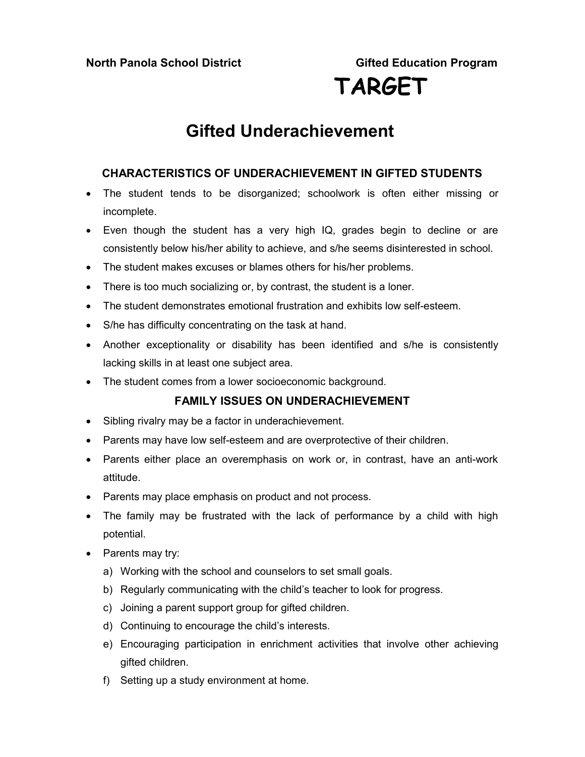### **Gifted Underachievement**

### **CHARACTERISTICS OF UNDERACHIEVEMENT IN GIFTED STUDENTS**

- The student tends to be disorganized; schoolwork is often either missing or incomplete.
- Even though the student has a very high IQ, grades begin to decline or are consistently below his/her ability to achieve, and s/he seems disinterested in school.
- The student makes excuses or blames others for his/her problems.
- There is too much socializing or, by contrast, the student is a loner.
- The student demonstrates emotional frustration and exhibits low self-esteem.
- S/he has difficulty concentrating on the task at hand.
- Another exceptionality or disability has been identified and s/he is consistently lacking skills in at least one subject area.
- The student comes from a lower socioeconomic background.

### **FAMILY ISSUES ON UNDERACHIEVEMENT**

- Sibling rivalry may be a factor in underachievement.
- Parents may have low self-esteem and are overprotective of their children.
- Parents either place an overemphasis on work or, in contrast, have an anti-work attitude.
- Parents may place emphasis on product and not process.
- The family may be frustrated with the lack of performance by a child with high potential.
- Parents may try:
	- a) Working with the school and counselors to set small goals.
	- b) Regularly communicating with the child's teacher to look for progress.
	- c) Joining a parent support group for gifted children.
	- d) Continuing to encourage the child's interests.
	- e) Encouraging participation in enrichment activities that involve other achieving gifted children.
	- f) Setting up a study environment at home.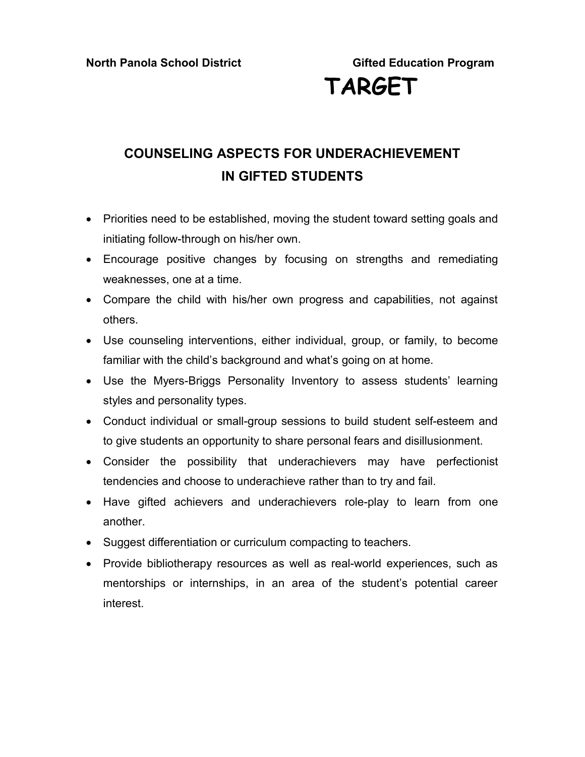# **TARGET**

### **COUNSELING ASPECTS FOR UNDERACHIEVEMENT IN GIFTED STUDENTS**

- Priorities need to be established, moving the student toward setting goals and initiating follow-through on his/her own.
- Encourage positive changes by focusing on strengths and remediating weaknesses, one at a time.
- Compare the child with his/her own progress and capabilities, not against others.
- Use counseling interventions, either individual, group, or family, to become familiar with the child's background and what's going on at home.
- Use the Myers-Briggs Personality Inventory to assess students' learning styles and personality types.
- Conduct individual or small-group sessions to build student self-esteem and to give students an opportunity to share personal fears and disillusionment.
- Consider the possibility that underachievers may have perfectionist tendencies and choose to underachieve rather than to try and fail.
- Have gifted achievers and underachievers role-play to learn from one another.
- Suggest differentiation or curriculum compacting to teachers.
- Provide bibliotherapy resources as well as real-world experiences, such as mentorships or internships, in an area of the student's potential career interest.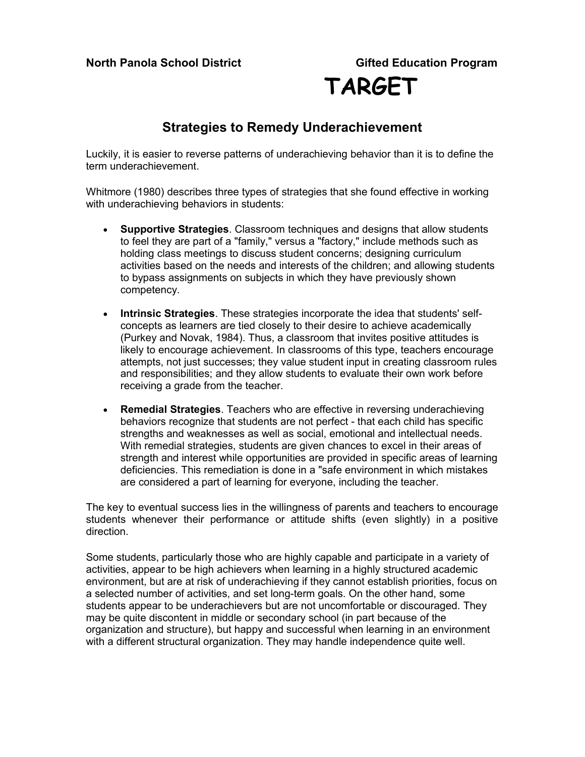### **Strategies to Remedy Underachievement**

Luckily, it is easier to reverse patterns of underachieving behavior than it is to define the term underachievement.

Whitmore (1980) describes three types of strategies that she found effective in working with underachieving behaviors in students:

- **Supportive Strategies**. Classroom techniques and designs that allow students to feel they are part of a "family," versus a "factory," include methods such as holding class meetings to discuss student concerns; designing curriculum activities based on the needs and interests of the children; and allowing students to bypass assignments on subjects in which they have previously shown competency.
- **Intrinsic Strategies**. These strategies incorporate the idea that students' selfconcepts as learners are tied closely to their desire to achieve academically (Purkey and Novak, 1984). Thus, a classroom that invites positive attitudes is likely to encourage achievement. In classrooms of this type, teachers encourage attempts, not just successes; they value student input in creating classroom rules and responsibilities; and they allow students to evaluate their own work before receiving a grade from the teacher.
- **Remedial Strategies**. Teachers who are effective in reversing underachieving behaviors recognize that students are not perfect - that each child has specific strengths and weaknesses as well as social, emotional and intellectual needs. With remedial strategies, students are given chances to excel in their areas of strength and interest while opportunities are provided in specific areas of learning deficiencies. This remediation is done in a "safe environment in which mistakes are considered a part of learning for everyone, including the teacher.

The key to eventual success lies in the willingness of parents and teachers to encourage students whenever their performance or attitude shifts (even slightly) in a positive direction.

Some students, particularly those who are highly capable and participate in a variety of activities, appear to be high achievers when learning in a highly structured academic environment, but are at risk of underachieving if they cannot establish priorities, focus on a selected number of activities, and set long-term goals. On the other hand, some students appear to be underachievers but are not uncomfortable or discouraged. They may be quite discontent in middle or secondary school (in part because of the organization and structure), but happy and successful when learning in an environment with a different structural organization. They may handle independence quite well.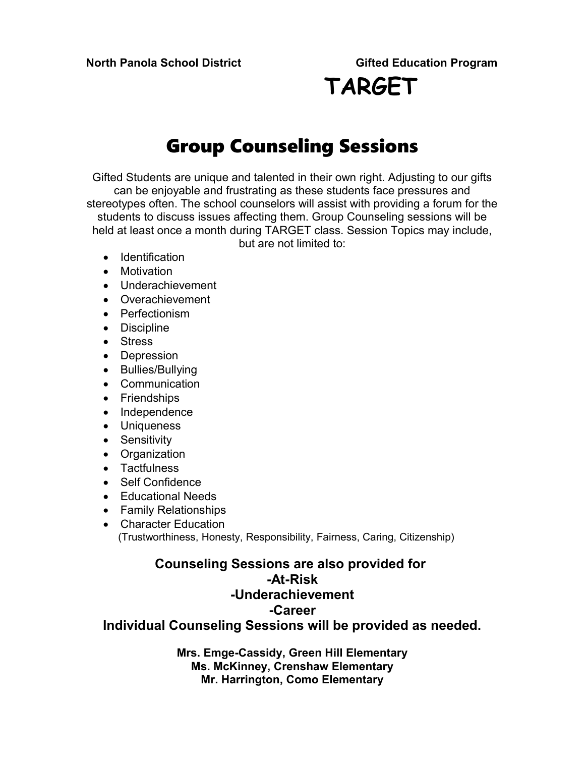# **TARGET**

### Group Counseling Sessions

Gifted Students are unique and talented in their own right. Adjusting to our gifts can be enjoyable and frustrating as these students face pressures and stereotypes often. The school counselors will assist with providing a forum for the students to discuss issues affecting them. Group Counseling sessions will be held at least once a month during TARGET class. Session Topics may include, but are not limited to:

- Identification
- Motivation
- Underachievement
- Overachievement
- Perfectionism
- Discipline
- Stress
- Depression
- Bullies/Bullying
- Communication
- Friendships
- Independence
- Uniqueness
- Sensitivity
- Organization
- Tactfulness
- Self Confidence
- Educational Needs
- Family Relationships
- Character Education (Trustworthiness, Honesty, Responsibility, Fairness, Caring, Citizenship)

### **Counseling Sessions are also provided for -At-Risk -Underachievement -Career Individual Counseling Sessions will be provided as needed.**

**Mrs. Emge-Cassidy, Green Hill Elementary Ms. McKinney, Crenshaw Elementary Mr. Harrington, Como Elementary**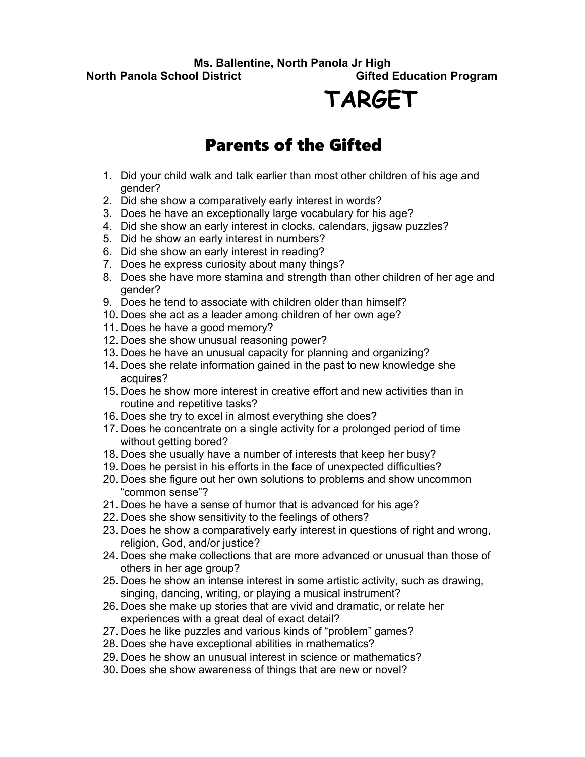**Ms. Ballentine, North Panola Jr High North Panola School District Community Construction Cifted Education Program** 

# **TARGET**

### Parents of the Gifted

- 1. Did your child walk and talk earlier than most other children of his age and gender?
- 2. Did she show a comparatively early interest in words?
- 3. Does he have an exceptionally large vocabulary for his age?
- 4. Did she show an early interest in clocks, calendars, jigsaw puzzles?
- 5. Did he show an early interest in numbers?
- 6. Did she show an early interest in reading?
- 7. Does he express curiosity about many things?
- 8. Does she have more stamina and strength than other children of her age and gender?
- 9. Does he tend to associate with children older than himself?
- 10. Does she act as a leader among children of her own age?
- 11. Does he have a good memory?
- 12. Does she show unusual reasoning power?
- 13. Does he have an unusual capacity for planning and organizing?
- 14. Does she relate information gained in the past to new knowledge she acquires?
- 15. Does he show more interest in creative effort and new activities than in routine and repetitive tasks?
- 16. Does she try to excel in almost everything she does?
- 17. Does he concentrate on a single activity for a prolonged period of time without getting bored?
- 18. Does she usually have a number of interests that keep her busy?
- 19. Does he persist in his efforts in the face of unexpected difficulties?
- 20. Does she figure out her own solutions to problems and show uncommon "common sense"?
- 21. Does he have a sense of humor that is advanced for his age?
- 22. Does she show sensitivity to the feelings of others?
- 23. Does he show a comparatively early interest in questions of right and wrong, religion, God, and/or justice?
- 24. Does she make collections that are more advanced or unusual than those of others in her age group?
- 25. Does he show an intense interest in some artistic activity, such as drawing, singing, dancing, writing, or playing a musical instrument?
- 26. Does she make up stories that are vivid and dramatic, or relate her experiences with a great deal of exact detail?
- 27. Does he like puzzles and various kinds of "problem" games?
- 28. Does she have exceptional abilities in mathematics?
- 29. Does he show an unusual interest in science or mathematics?
- 30. Does she show awareness of things that are new or novel?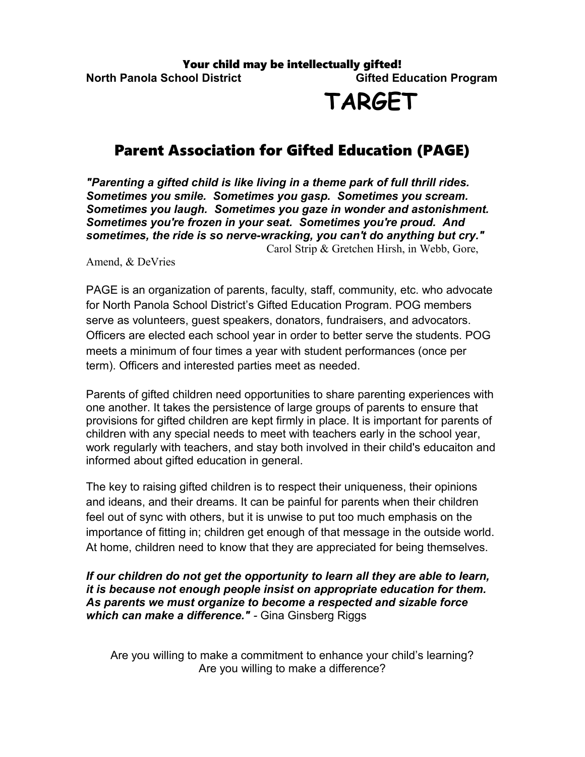## **TARGET**

### Parent Association for Gifted Education (PAGE)

*"Parenting a gifted child is like living in a theme park of full thrill rides. Sometimes you smile. Sometimes you gasp. Sometimes you scream. Sometimes you laugh. Sometimes you gaze in wonder and astonishment. Sometimes you're frozen in your seat. Sometimes you're proud. And sometimes, the ride is so nerve-wracking, you can't do anything but cry."* Carol Strip & Gretchen Hirsh, in Webb, Gore,

#### Amend, & DeVries

PAGE is an organization of parents, faculty, staff, community, etc. who advocate for North Panola School District's Gifted Education Program. POG members serve as volunteers, guest speakers, donators, fundraisers, and advocators. Officers are elected each school year in order to better serve the students. POG meets a minimum of four times a year with student performances (once per term). Officers and interested parties meet as needed.

Parents of gifted children need opportunities to share parenting experiences with one another. It takes the persistence of large groups of parents to ensure that provisions for gifted children are kept firmly in place. It is important for parents of children with any special needs to meet with teachers early in the school year, work regularly with teachers, and stay both involved in their child's educaiton and informed about gifted education in general.

The key to raising gifted children is to respect their uniqueness, their opinions and ideans, and their dreams. It can be painful for parents when their children feel out of sync with others, but it is unwise to put too much emphasis on the importance of fitting in; children get enough of that message in the outside world. At home, children need to know that they are appreciated for being themselves.

*If our children do not get the opportunity to learn all they are able to learn, it is because not enough people insist on appropriate education for them. As parents we must organize to become a respected and sizable force which can make a difference." -* Gina Ginsberg Riggs

Are you willing to make a commitment to enhance your child's learning? Are you willing to make a difference?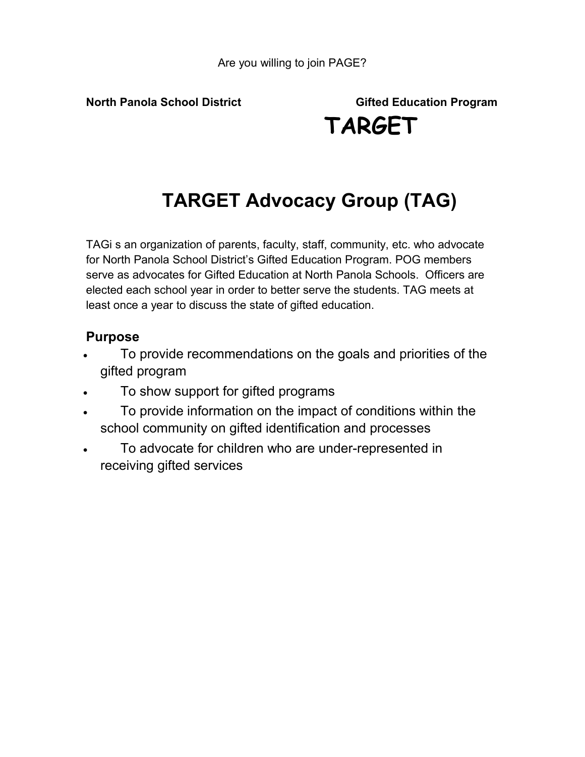# **TARGET Advocacy Group (TAG)**

TAGi s an organization of parents, faculty, staff, community, etc. who advocate for North Panola School District's Gifted Education Program. POG members serve as advocates for Gifted Education at North Panola Schools. Officers are elected each school year in order to better serve the students. TAG meets at least once a year to discuss the state of gifted education.

### **Purpose**

- To provide recommendations on the goals and priorities of the gifted program
- To show support for gifted programs
- To provide information on the impact of conditions within the school community on gifted identification and processes
- To advocate for children who are under-represented in receiving gifted services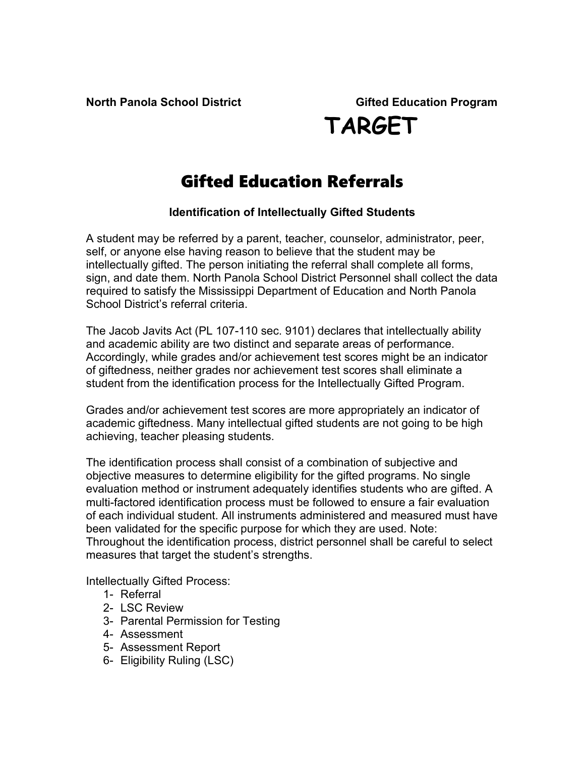### Gifted Education Referrals

### **Identification of Intellectually Gifted Students**

A student may be referred by a parent, teacher, counselor, administrator, peer, self, or anyone else having reason to believe that the student may be intellectually gifted. The person initiating the referral shall complete all forms, sign, and date them. North Panola School District Personnel shall collect the data required to satisfy the Mississippi Department of Education and North Panola School District's referral criteria.

The Jacob Javits Act (PL 107-110 sec. 9101) declares that intellectually ability and academic ability are two distinct and separate areas of performance. Accordingly, while grades and/or achievement test scores might be an indicator of giftedness, neither grades nor achievement test scores shall eliminate a student from the identification process for the Intellectually Gifted Program.

Grades and/or achievement test scores are more appropriately an indicator of academic giftedness. Many intellectual gifted students are not going to be high achieving, teacher pleasing students.

The identification process shall consist of a combination of subjective and objective measures to determine eligibility for the gifted programs. No single evaluation method or instrument adequately identifies students who are gifted. A multi-factored identification process must be followed to ensure a fair evaluation of each individual student. All instruments administered and measured must have been validated for the specific purpose for which they are used. Note: Throughout the identification process, district personnel shall be careful to select measures that target the student's strengths.

Intellectually Gifted Process:

- 1- Referral
- 2- LSC Review
- 3- Parental Permission for Testing
- 4- Assessment
- 5- Assessment Report
- 6- Eligibility Ruling (LSC)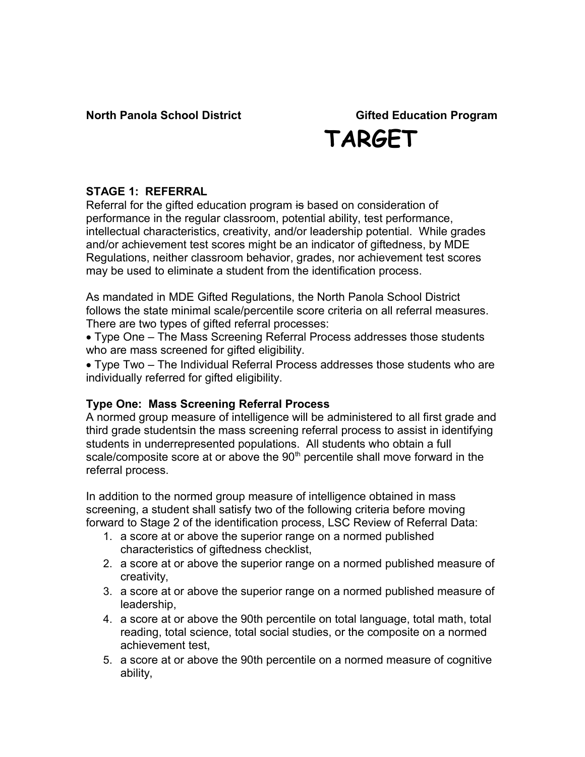### **STAGE 1: REFERRAL**

Referral for the gifted education program is based on consideration of performance in the regular classroom, potential ability, test performance, intellectual characteristics, creativity, and/or leadership potential. While grades and/or achievement test scores might be an indicator of giftedness, by MDE Regulations, neither classroom behavior, grades, nor achievement test scores may be used to eliminate a student from the identification process.

As mandated in MDE Gifted Regulations, the North Panola School District follows the state minimal scale/percentile score criteria on all referral measures. There are two types of gifted referral processes:

 Type One – The Mass Screening Referral Process addresses those students who are mass screened for gifted eligibility.

 Type Two – The Individual Referral Process addresses those students who are individually referred for gifted eligibility.

### **Type One: Mass Screening Referral Process**

A normed group measure of intelligence will be administered to all first grade and third grade studentsin the mass screening referral process to assist in identifying students in underrepresented populations. All students who obtain a full scale/composite score at or above the  $90<sup>th</sup>$  percentile shall move forward in the referral process.

In addition to the normed group measure of intelligence obtained in mass screening, a student shall satisfy two of the following criteria before moving forward to Stage 2 of the identification process, LSC Review of Referral Data:

- 1. a score at or above the superior range on a normed published characteristics of giftedness checklist,
- 2. a score at or above the superior range on a normed published measure of creativity,
- 3. a score at or above the superior range on a normed published measure of leadership,
- 4. a score at or above the 90th percentile on total language, total math, total reading, total science, total social studies, or the composite on a normed achievement test,
- 5. a score at or above the 90th percentile on a normed measure of cognitive ability,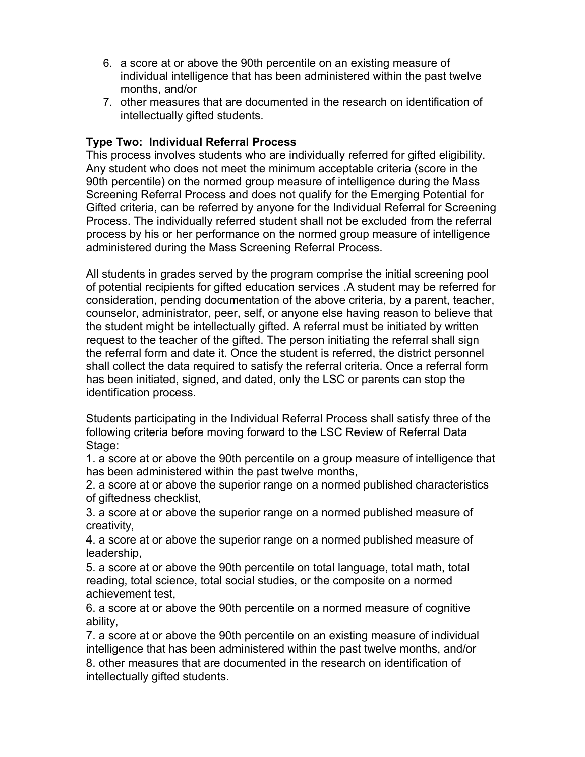- 6. a score at or above the 90th percentile on an existing measure of individual intelligence that has been administered within the past twelve months, and/or
- 7. other measures that are documented in the research on identification of intellectually gifted students.

### **Type Two: Individual Referral Process**

This process involves students who are individually referred for gifted eligibility. Any student who does not meet the minimum acceptable criteria (score in the 90th percentile) on the normed group measure of intelligence during the Mass Screening Referral Process and does not qualify for the Emerging Potential for Gifted criteria, can be referred by anyone for the Individual Referral for Screening Process. The individually referred student shall not be excluded from the referral process by his or her performance on the normed group measure of intelligence administered during the Mass Screening Referral Process.

All students in grades served by the program comprise the initial screening pool of potential recipients for gifted education services .A student may be referred for consideration, pending documentation of the above criteria, by a parent, teacher, counselor, administrator, peer, self, or anyone else having reason to believe that the student might be intellectually gifted. A referral must be initiated by written request to the teacher of the gifted. The person initiating the referral shall sign the referral form and date it. Once the student is referred, the district personnel shall collect the data required to satisfy the referral criteria. Once a referral form has been initiated, signed, and dated, only the LSC or parents can stop the identification process.

Students participating in the Individual Referral Process shall satisfy three of the following criteria before moving forward to the LSC Review of Referral Data Stage:

1. a score at or above the 90th percentile on a group measure of intelligence that has been administered within the past twelve months,

2. a score at or above the superior range on a normed published characteristics of giftedness checklist,

3. a score at or above the superior range on a normed published measure of creativity,

4. a score at or above the superior range on a normed published measure of leadership,

5. a score at or above the 90th percentile on total language, total math, total reading, total science, total social studies, or the composite on a normed achievement test,

6. a score at or above the 90th percentile on a normed measure of cognitive ability,

7. a score at or above the 90th percentile on an existing measure of individual intelligence that has been administered within the past twelve months, and/or 8. other measures that are documented in the research on identification of

intellectually gifted students.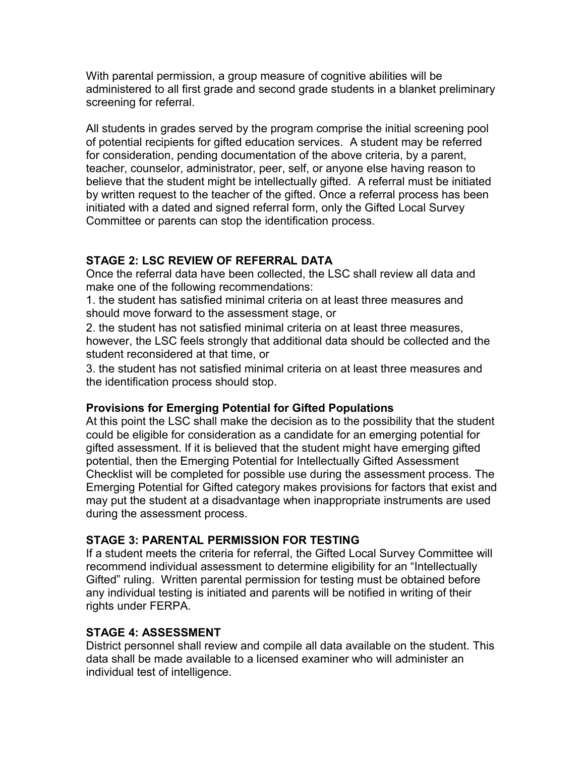With parental permission, a group measure of cognitive abilities will be administered to all first grade and second grade students in a blanket preliminary screening for referral.

All students in grades served by the program comprise the initial screening pool of potential recipients for gifted education services.A student may be referred for consideration, pending documentation of the above criteria, by a parent, teacher, counselor, administrator, peer, self, or anyone else having reason to believe that the student might be intellectually gifted. A referral must be initiated by written request to the teacher of the gifted. Once a referral process has been initiated with a dated and signed referral form, only the Gifted Local Survey Committee or parents can stop the identification process.

### **STAGE 2: LSC REVIEW OF REFERRAL DATA**

Once the referral data have been collected, the LSC shall review all data and make one of the following recommendations:

1. the student has satisfied minimal criteria on at least three measures and should move forward to the assessment stage, or

2. the student has not satisfied minimal criteria on at least three measures, however, the LSC feels strongly that additional data should be collected and the student reconsidered at that time, or

3. the student has not satisfied minimal criteria on at least three measures and the identification process should stop.

### **Provisions for Emerging Potential for Gifted Populations**

At this point the LSC shall make the decision as to the possibility that the student could be eligible for consideration as a candidate for an emerging potential for gifted assessment. If it is believed that the student might have emerging gifted potential, then the Emerging Potential for Intellectually Gifted Assessment Checklist will be completed for possible use during the assessment process. The Emerging Potential for Gifted category makes provisions for factors that exist and may put the student at a disadvantage when inappropriate instruments are used during the assessment process.

### **STAGE 3: PARENTAL PERMISSION FOR TESTING**

If a student meets the criteria for referral, the Gifted Local Survey Committee will recommend individual assessment to determine eligibility for an "Intellectually Gifted" ruling. Written parental permission for testing must be obtained before any individual testing is initiated and parents will be notified in writing of their rights under FERPA.

### **STAGE 4: ASSESSMENT**

District personnel shall review and compile all data available on the student. This data shall be made available to a licensed examiner who will administer an individual test of intelligence.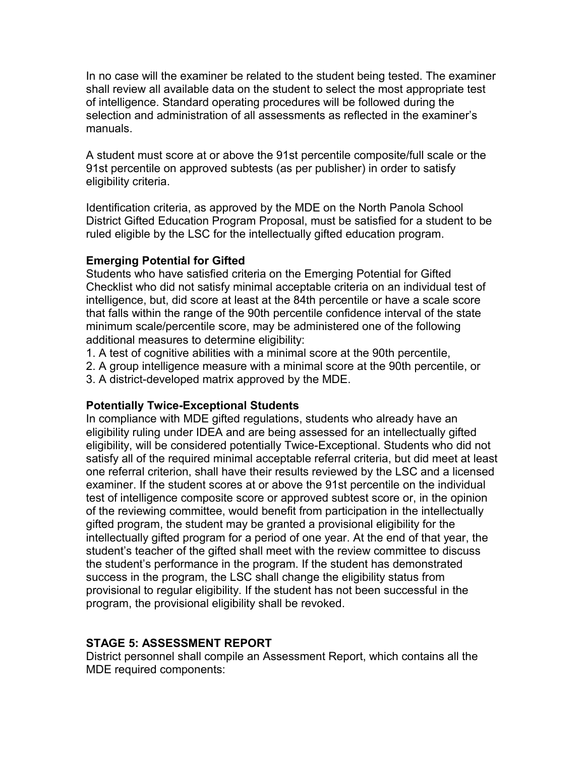In no case will the examiner be related to the student being tested. The examiner shall review all available data on the student to select the most appropriate test of intelligence. Standard operating procedures will be followed during the selection and administration of all assessments as reflected in the examiner's manuals.

A student must score at or above the 91st percentile composite/full scale or the 91st percentile on approved subtests (as per publisher) in order to satisfy eligibility criteria.

Identification criteria, as approved by the MDE on the North Panola School District Gifted Education Program Proposal, must be satisfied for a student to be ruled eligible by the LSC for the intellectually gifted education program.

### **Emerging Potential for Gifted**

Students who have satisfied criteria on the Emerging Potential for Gifted Checklist who did not satisfy minimal acceptable criteria on an individual test of intelligence, but, did score at least at the 84th percentile or have a scale score that falls within the range of the 90th percentile confidence interval of the state minimum scale/percentile score, may be administered one of the following additional measures to determine eligibility:

1. A test of cognitive abilities with a minimal score at the 90th percentile,

2. A group intelligence measure with a minimal score at the 90th percentile, or

3. A district-developed matrix approved by the MDE.

### **Potentially Twice-Exceptional Students**

In compliance with MDE gifted regulations, students who already have an eligibility ruling under IDEA and are being assessed for an intellectually gifted eligibility, will be considered potentially Twice-Exceptional. Students who did not satisfy all of the required minimal acceptable referral criteria, but did meet at least one referral criterion, shall have their results reviewed by the LSC and a licensed examiner. If the student scores at or above the 91st percentile on the individual test of intelligence composite score or approved subtest score or, in the opinion of the reviewing committee, would benefit from participation in the intellectually gifted program, the student may be granted a provisional eligibility for the intellectually gifted program for a period of one year. At the end of that year, the student's teacher of the gifted shall meet with the review committee to discuss the student's performance in the program. If the student has demonstrated success in the program, the LSC shall change the eligibility status from provisional to regular eligibility. If the student has not been successful in the program, the provisional eligibility shall be revoked.

### **STAGE 5: ASSESSMENT REPORT**

District personnel shall compile an Assessment Report, which contains all the MDE required components: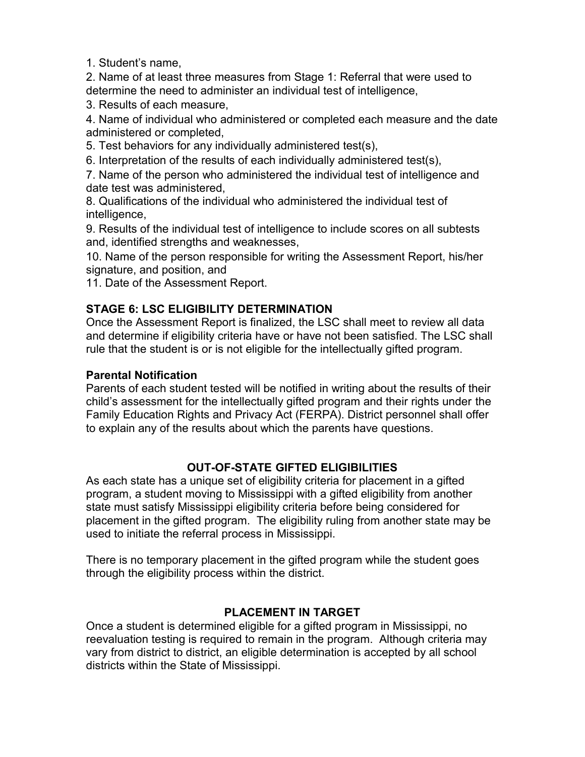1. Student's name,

2. Name of at least three measures from Stage 1: Referral that were used to determine the need to administer an individual test of intelligence,

3. Results of each measure,

4. Name of individual who administered or completed each measure and the date administered or completed,

5. Test behaviors for any individually administered test(s),

6. Interpretation of the results of each individually administered test(s),

7. Name of the person who administered the individual test of intelligence and date test was administered,

8. Qualifications of the individual who administered the individual test of intelligence,

9. Results of the individual test of intelligence to include scores on all subtests and, identified strengths and weaknesses,

10. Name of the person responsible for writing the Assessment Report, his/her signature, and position, and

11. Date of the Assessment Report.

### **STAGE 6: LSC ELIGIBILITY DETERMINATION**

Once the Assessment Report is finalized, the LSC shall meet to review all data and determine if eligibility criteria have or have not been satisfied. The LSC shall rule that the student is or is not eligible for the intellectually gifted program.

### **Parental Notification**

Parents of each student tested will be notified in writing about the results of their child's assessment for the intellectually gifted program and their rights under the Family Education Rights and Privacy Act (FERPA). District personnel shall offer to explain any of the results about which the parents have questions.

### **OUT-OF-STATE GIFTED ELIGIBILITIES**

As each state has a unique set of eligibility criteria for placement in a gifted program, a student moving to Mississippi with a gifted eligibility from another state must satisfy Mississippi eligibility criteria before being considered for placement in the gifted program. The eligibility ruling from another state may be used to initiate the referral process in Mississippi.

There is no temporary placement in the gifted program while the student goes through the eligibility process within the district.

### **PLACEMENT IN TARGET**

Once a student is determined eligible for a gifted program in Mississippi, no reevaluation testing is required to remain in the program. Although criteria may vary from district to district, an eligible determination is accepted by all school districts within the State of Mississippi.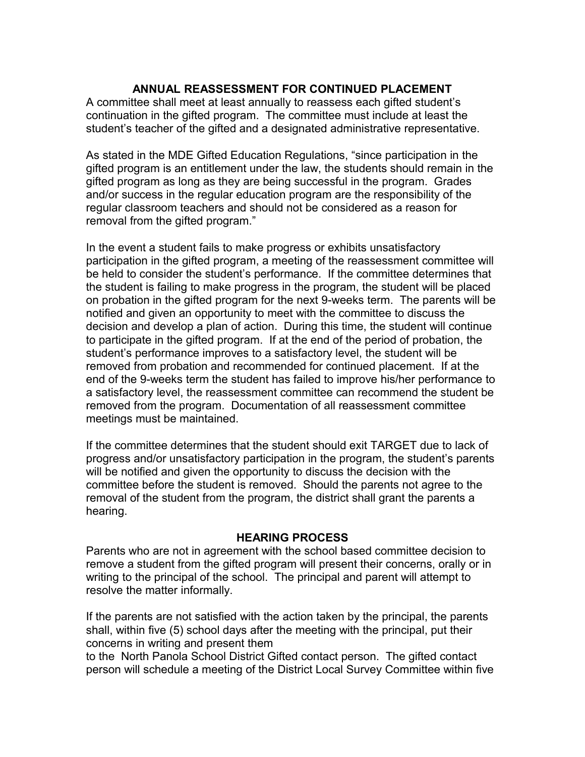### **ANNUAL REASSESSMENT FOR CONTINUED PLACEMENT**

A committee shall meet at least annually to reassess each gifted student's continuation in the gifted program. The committee must include at least the student's teacher of the gifted and a designated administrative representative.

As stated in the MDE Gifted Education Regulations, "since participation in the gifted program is an entitlement under the law, the students should remain in the gifted program as long as they are being successful in the program. Grades and/or success in the regular education program are the responsibility of the regular classroom teachers and should not be considered as a reason for removal from the gifted program."

In the event a student fails to make progress or exhibits unsatisfactory participation in the gifted program, a meeting of the reassessment committee will be held to consider the student's performance. If the committee determines that the student is failing to make progress in the program, the student will be placed on probation in the gifted program for the next 9-weeks term. The parents will be notified and given an opportunity to meet with the committee to discuss the decision and develop a plan of action. During this time, the student will continue to participate in the gifted program. If at the end of the period of probation, the student's performance improves to a satisfactory level, the student will be removed from probation and recommended for continued placement. If at the end of the 9-weeks term the student has failed to improve his/her performance to a satisfactory level, the reassessment committee can recommend the student be removed from the program. Documentation of all reassessment committee meetings must be maintained.

If the committee determines that the student should exit TARGET due to lack of progress and/or unsatisfactory participation in the program, the student's parents will be notified and given the opportunity to discuss the decision with the committee before the student is removed. Should the parents not agree to the removal of the student from the program, the district shall grant the parents a hearing.

### **HEARING PROCESS**

Parents who are not in agreement with the school based committee decision to remove a student from the gifted program will present their concerns, orally or in writing to the principal of the school. The principal and parent will attempt to resolve the matter informally.

If the parents are not satisfied with the action taken by the principal, the parents shall, within five (5) school days after the meeting with the principal, put their concerns in writing and present them

to the North Panola School District Gifted contact person. The gifted contact person will schedule a meeting of the District Local Survey Committee within five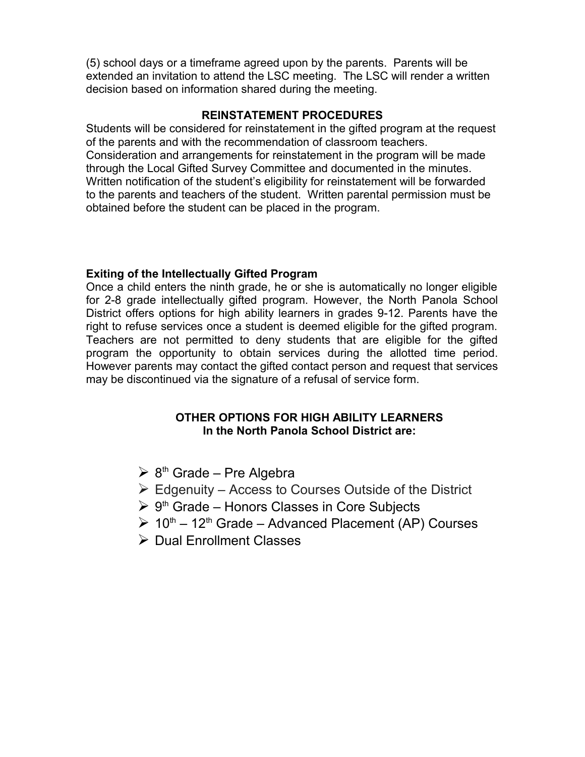(5) school days or a timeframe agreed upon by the parents. Parents will be extended an invitation to attend the LSC meeting. The LSC will render a written decision based on information shared during the meeting.

### **REINSTATEMENT PROCEDURES**

Students will be considered for reinstatement in the gifted program at the request of the parents and with the recommendation of classroom teachers. Consideration and arrangements for reinstatement in the program will be made through the Local Gifted Survey Committee and documented in the minutes. Written notification of the student's eligibility for reinstatement will be forwarded to the parents and teachers of the student. Written parental permission must be obtained before the student can be placed in the program.

### **Exiting of the Intellectually Gifted Program**

Once a child enters the ninth grade, he or she is automatically no longer eligible for 2-8 grade intellectually gifted program. However, the North Panola School District offers options for high ability learners in grades 9-12. Parents have the right to refuse services once a student is deemed eligible for the gifted program. Teachers are not permitted to deny students that are eligible for the gifted program the opportunity to obtain services during the allotted time period. However parents may contact the gifted contact person and request that services may be discontinued via the signature of a refusal of service form.

### **OTHER OPTIONS FOR HIGH ABILITY LEARNERS In the North Panola School District are:**

- $\triangleright$  8<sup>th</sup> Grade Pre Algebra
- $\triangleright$  Edgenuity Access to Courses Outside of the District
- $\triangleright$  9<sup>th</sup> Grade Honors Classes in Core Subjects
- $\geq 10^{th} 12^{th}$  Grade Advanced Placement (AP) Courses
- $\triangleright$  Dual Enrollment Classes